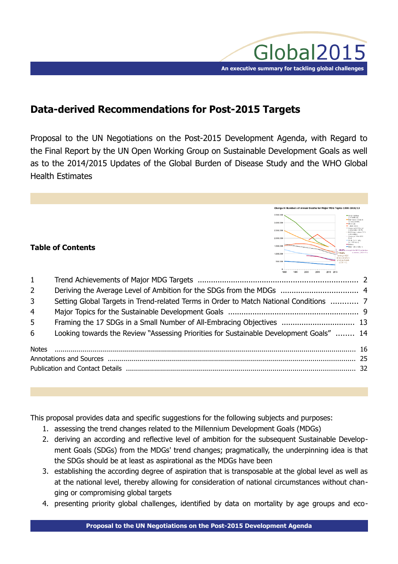

Change in Numbers of Annual Deaths for Major MDG Topics 1990-2010/13

2.500.000 2,000,000 1.500.000 1000000

# **Data-derived Recommendations for Post-2015 Targets**

Proposal to the UN Negotiations on the Post-2015 Development Agenda, with Regard to the Final Report by the UN Open Working Group on Sustainable Development Goals as well as to the 2014/2015 Updates of the Global Burden of Disease Study and the WHO Global Health Estimates

# **Table of Contents**

|                | 0<br>1990 1995 2000 2005 2010 2013                                                      |  |
|----------------|-----------------------------------------------------------------------------------------|--|
| 1              |                                                                                         |  |
| $\overline{2}$ |                                                                                         |  |
| $\overline{3}$ | Setting Global Targets in Trend-related Terms in Order to Match National Conditions  7  |  |
| $\overline{4}$ |                                                                                         |  |
| 5 <sup>1</sup> |                                                                                         |  |
| 6              | Looking towards the Review "Assessing Priorities for Sustainable Development Goals"  14 |  |
|                |                                                                                         |  |
|                |                                                                                         |  |
|                |                                                                                         |  |

This proposal provides data and specific suggestions for the following subjects and purposes:

- 1. assessing the trend changes related to the Millennium Development Goals (MDGs)
- 2. deriving an according and reflective level of ambition for the subsequent Sustainable Development Goals (SDGs) from the MDGs' trend changes; pragmatically, the underpinning idea is that the SDGs should be at least as aspirational as the MDGs have been
- 3. establishing the according degree of aspiration that is transposable at the global level as well as at the national level, thereby allowing for consideration of national circumstances without changing or compromising global targets
- 4. presenting priority global challenges, identified by data on mortality by age groups and eco-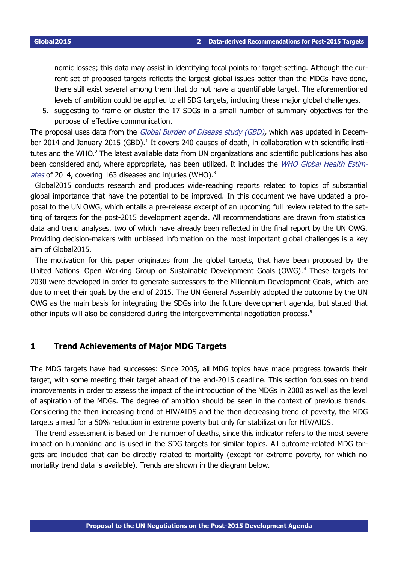nomic losses; this data may assist in identifying focal points for target-setting. Although the current set of proposed targets reflects the largest global issues better than the MDGs have done, there still exist several among them that do not have a quantifiable target. The aforementioned levels of ambition could be applied to all SDG targets, including these major global challenges.

5. suggesting to frame or cluster the 17 SDGs in a small number of summary objectives for the purpose of effective communication.

The proposal uses data from the Global Burden of Disease study (GBD), which was updated in Decem-ber 20[1](#page-15-1)4 and January 2015 (GBD).<sup>1</sup> It covers 240 causes of death, in collaboration with scientific insti-tutes and the WHO.<sup>[2](#page-15-0)</sup> The latest available data from UN organizations and scientific publications has also been considered and, where appropriate, has been utilized. It includes the WHO Global Health Estim-ates of 2014, covering 16[3](#page-15-2) diseases and injuries (WHO).<sup>3</sup>

Global2015 conducts research and produces wide-reaching reports related to topics of substantial global importance that have the potential to be improved. In this document we have updated a proposal to the UN OWG, which entails a pre-release excerpt of an upcoming full review related to the setting of targets for the post-2015 development agenda. All recommendations are drawn from statistical data and trend analyses, two of which have already been reflected in the final report by the UN OWG. Providing decision-makers with unbiased information on the most important global challenges is a key aim of Global2015.

The motivation for this paper originates from the global targets, that have been proposed by the United Nations' Open Working Group on Sustainable Development Goals (OWG).<sup>[4](#page-15-3)</sup> These targets for 2030 were developed in order to generate successors to the Millennium Development Goals, which are due to meet their goals by the end of 2015. The UN General Assembly adopted the outcome by the UN OWG as the main basis for integrating the SDGs into the future development agenda, but stated that other inputs will also be considered during the intergovernmental negotiation process.<sup>[5](#page-15-4)</sup>

## <span id="page-1-0"></span>**1 Trend Achievements of Major MDG Targets**

The MDG targets have had successes: Since 2005, all MDG topics have made progress towards their target, with some meeting their target ahead of the end-2015 deadline. This section focusses on trend improvements in order to assess the impact of the introduction of the MDGs in 2000 as well as the level of aspiration of the MDGs. The degree of ambition should be seen in the context of previous trends. Considering the then increasing trend of HIV/AIDS and the then decreasing trend of poverty, the MDG targets aimed for a 50% reduction in extreme poverty but only for stabilization for HIV/AIDS.

The trend assessment is based on the number of deaths, since this indicator refers to the most severe impact on humankind and is used in the SDG targets for similar topics. All outcome-related MDG targets are included that can be directly related to mortality (except for extreme poverty, for which no mortality trend data is available). Trends are shown in the diagram below.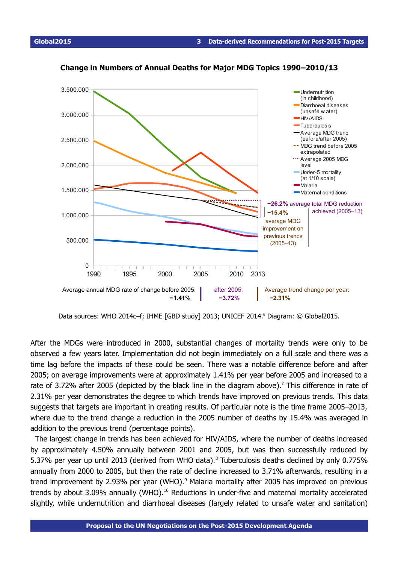

### <span id="page-2-0"></span>**Change in Numbers of Annual Deaths for Major MDG Topics 1990–2010/13**

Data sources: WHO 2014c-f; IHME [GBD study] 2013; UNICEF 2014.<sup>[6](#page-15-5)</sup> Diagram: © Global2015.

 **−1.41% −3.72% −2.31%**

1990 1995 2000 2005 2010 2013

Average annual MDG rate of change before 2005: **Alter 2005:** Average trend change per year:

after 2005:<br>-3.72%

After the MDGs were introduced in 2000, substantial changes of mortality trends were only to be observed a few years later. Implementation did not begin immediately on a full scale and there was a time lag before the impacts of these could be seen. There was a notable difference before and after 2005; on average improvements were at approximately 1.41% per year before 2005 and increased to a rate of 3.[7](#page-15-6)2% after 2005 (depicted by the black line in the diagram above).<sup>7</sup> This difference in rate of 2.31% per year demonstrates the degree to which trends have improved on previous trends. This data suggests that targets are important in creating results. Of particular note is the time frame 2005–2013, where due to the trend change a reduction in the 2005 number of deaths by 15.4% was averaged in addition to the previous trend (percentage points).

The largest change in trends has been achieved for HIV/AIDS, where the number of deaths increased by approximately 4.50% annually between 2001 and 2005, but was then successfully reduced by 5.37% per year up until 2013 (derived from WHO data).<sup>[8](#page-15-7)</sup> Tuberculosis deaths declined by only 0.775% annually from 2000 to 2005, but then the rate of decline increased to 3.71% afterwards, resulting in a trend improvement by 2.[9](#page-15-8)3% per year (WHO).<sup>9</sup> Malaria mortality after 2005 has improved on previous trends by about 3.09% annually (WHO).<sup>[10](#page-15-9)</sup> Reductions in under-five and maternal mortality accelerated slightly, while undernutrition and diarrhoeal diseases (largely related to unsafe water and sanitation)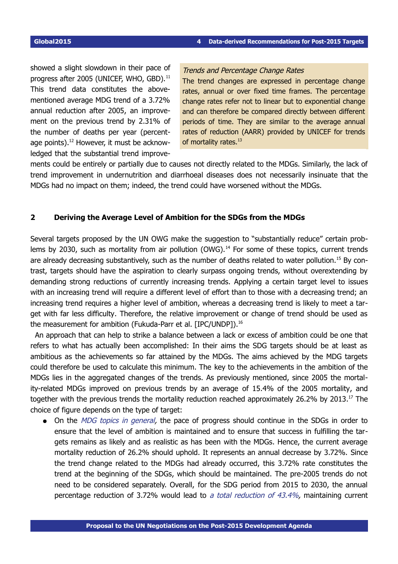showed a slight slowdown in their pace of progress after 2005 (UNICEF, WHO, GBD).<sup>[11](#page-15-10)</sup> This trend data constitutes the abovementioned average MDG trend of a 3.72% annual reduction after 2005, an improvement on the previous trend by 2.31% of the number of deaths per year (percentage points). [12](#page-15-11) However, it must be acknowledged that the substantial trend improve-

### Trends and Percentage Change Rates

The trend changes are expressed in percentage change rates, annual or over fixed time frames. The percentage change rates refer not to linear but to exponential change and can therefore be compared directly between different periods of time. They are similar to the average annual rates of reduction (AARR) provided by UNICEF for trends of mortality rates.<sup>13</sup>

ments could be entirely or partially due to causes not directly related to the MDGs. Similarly, the lack of trend improvement in undernutrition and diarrhoeal diseases does not necessarily insinuate that the MDGs had no impact on them; indeed, the trend could have worsened without the MDGs.

### <span id="page-3-0"></span>**2 Deriving the Average Level of Ambition for the SDGs from the MDGs**

Several targets proposed by the UN OWG make the suggestion to "substantially reduce" certain prob-lems by 2030, such as mortality from air pollution (OWG).<sup>[14](#page-16-1)</sup> For some of these topics, current trends are already decreasing substantively, such as the number of deaths related to water pollution.<sup>[15](#page-16-2)</sup> By contrast, targets should have the aspiration to clearly surpass ongoing trends, without overextending by demanding strong reductions of currently increasing trends. Applying a certain target level to issues with an increasing trend will require a different level of effort than to those with a decreasing trend; an increasing trend requires a higher level of ambition, whereas a decreasing trend is likely to meet a target with far less difficulty. Therefore, the relative improvement or change of trend should be used as the measurement for ambition (Fukuda-Parr et al. [IPC/UNDP]).<sup>[16](#page-16-3)</sup>

An approach that can help to strike a balance between a lack or excess of ambition could be one that refers to what has actually been accomplished: In their aims the SDG targets should be at least as ambitious as the achievements so far attained by the MDGs. The aims achieved by the MDG targets could therefore be used to calculate this minimum. The key to the achievements in the ambition of the MDGs lies in the aggregated changes of the trends. As previously mentioned, since 2005 the mortality-related MDGs improved on previous trends by an average of 15.4% of the 2005 mortality, and together with the previous trends the mortality reduction reached approximately 26.2% by 2013.<sup>[17](#page-16-4)</sup> The choice of figure depends on the type of target:

• On the MDG topics in general, the pace of progress should continue in the SDGs in order to ensure that the level of ambition is maintained and to ensure that success in fulfilling the targets remains as likely and as realistic as has been with the MDGs. Hence, the current average mortality reduction of 26.2% should uphold. It represents an annual decrease by 3.72%. Since the trend change related to the MDGs had already occurred, this 3.72% rate constitutes the trend at the beginning of the SDGs, which should be maintained. The pre-2005 trends do not need to be considered separately. Overall, for the SDG period from 2015 to 2030, the annual percentage reduction of 3.72% would lead to a total reduction of 43.4%, maintaining current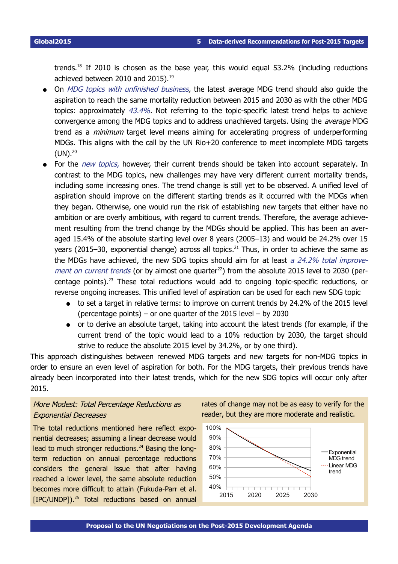trends.<sup>[18](#page-16-5)</sup> If 2010 is chosen as the base year, this would equal 53.2% (including reductions achieved between 2010 and 2015).<sup>[19](#page-16-6)</sup>

- On MDG topics with unfinished business, the latest average MDG trend should also guide the aspiration to reach the same mortality reduction between 2015 and 2030 as with the other MDG topics: approximately  $43.4\%$ . Not referring to the topic-specific latest trend helps to achieve convergence among the MDG topics and to address unachieved targets. Using the *average* MDG trend as a minimum target level means aiming for accelerating progress of underperforming MDGs. This aligns with the call by the UN Rio+20 conference to meet incomplete MDG targets  $(UN).<sup>20</sup>$  $(UN).<sup>20</sup>$  $(UN).<sup>20</sup>$
- <span id="page-4-0"></span>• For the new topics, however, their current trends should be taken into account separately. In contrast to the MDG topics, new challenges may have very different current mortality trends, including some increasing ones. The trend change is still yet to be observed. A unified level of aspiration should improve on the different starting trends as it occurred with the MDGs when they began. Otherwise, one would run the risk of establishing new targets that either have no ambition or are overly ambitious, with regard to current trends. Therefore, the average achievement resulting from the trend change by the MDGs should be applied. This has been an averaged 15.4% of the absolute starting level over 8 years (2005–13) and would be 24.2% over 15 years (2015–30, exponential change) across all topics.<sup>[21](#page-16-8)</sup> Thus, in order to achieve the same as the MDGs have achieved, the new SDG topics should aim for at least a  $24.2\%$  total improve-ment on current trends (or by almost one quarter<sup>[22](#page-16-9)</sup>) from the absolute 2015 level to 2030 (percentage points). [23](#page-16-10) These total reductions would add to ongoing topic-specific reductions, or reverse ongoing increases. This unified level of aspiration can be used for each new SDG topic
	- to set a target in relative terms: to improve on current trends by 24.2% of the 2015 level (percentage points) – or one quarter of the 2015 level – by 2030
	- or to derive an absolute target, taking into account the latest trends (for example, if the current trend of the topic would lead to a 10% reduction by 2030, the target should strive to reduce the absolute 2015 level by 34.2%, or by one third).

This approach distinguishes between renewed MDG targets and new targets for non-MDG topics in order to ensure an even level of aspiration for both. For the MDG targets, their previous trends have already been incorporated into their latest trends, which for the new SDG topics will occur only after 2015.

# More Modest: Total Percentage Reductions as Exponential Decreases

The total reductions mentioned here reflect exponential decreases; assuming a linear decrease would lead to much stronger reductions.<sup>[24](#page-16-11)</sup> Basing the longterm reduction on annual percentage reductions considers the general issue that after having reached a lower level, the same absolute reduction becomes more difficult to attain (Fukuda-Parr et al. [IPC/UNDP]). [25](#page-16-12) Total reductions based on annual

rates of change may not be as easy to verify for the reader, but they are more moderate and realistic.

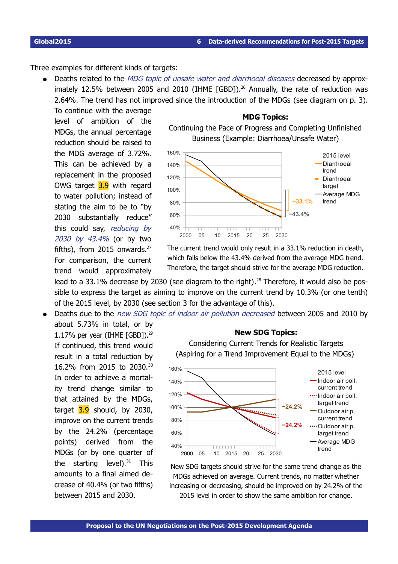Three examples for different kinds of targets:

<span id="page-5-0"></span>• Deaths related to the MDG topic of unsafe water and diarrhoeal diseases decreased by approximately 12.5% between 2005 and 2010 (IHME  $[GBD]$ ).<sup>[26](#page-17-0)</sup> Annually, the rate of reduction was 2.64%. The trend has not improved since the introduction of the MDGs (see diagram on p. [3\)](#page-2-0).

To continue with the average level of ambition of the MDGs, the annual percentage reduction should be raised to the MDG average of 3.72%. This can be achieved by a replacement in the proposed OWG target **3.9** with regard to water pollution; instead of stating the aim to be to "by 2030 substantially reduce" this could say, reducing by 2030 by 43.4% (or by two fifths), from 2015 onwards.<sup>[27](#page-17-1)</sup> For comparison, the current trend would approximately





The current trend would only result in a 33.1% reduction in death, which falls below the 43.4% derived from the average MDG trend. Therefore, the target should strive for the average MDG reduction.

lead to a 33.1% decrease by 2030 (see diagram to the right). $^{28}$  $^{28}$  $^{28}$  Therefore, it would also be possible to express the target as aiming to improve on the current trend by 10.3% (or one tenth) of the 2015 level, by 2030 (see section 3 for the advantage of this).

Deaths due to the *new SDG topic of indoor air pollution decreased* between 2005 and 2010 by

about 5.73% in total, or by 1.17% per year (IHME  $[GBD]$ ).<sup>[29](#page-17-3)</sup> If continued, this trend would result in a total reduction by 16.2% from 2015 to 2030.[30](#page-17-4) In order to achieve a mortality trend change similar to that attained by the MDGs, target  $3.9$  should, by 2030, improve on the current trends by the 24.2% (percentage points) derived from the MDGs (or by one quarter of the starting level).<sup>[31](#page-17-5)</sup> This amounts to a final aimed decrease of 40.4% (or two fifths) between 2015 and 2030.

#### **New SDG Topics:**





New SDG targets should strive for the same trend change as the MDGs achieved on average. Current trends, no matter whether increasing or decreasing, should be improved on by 24.2% of the 2015 level in order to show the same ambition for change.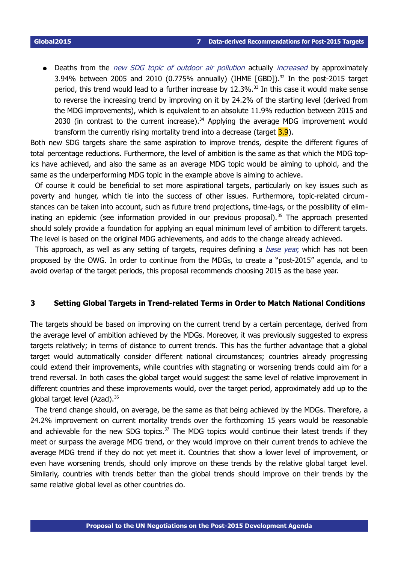Deaths from the new SDG topic of outdoor air pollution actually increased by approximately 3.94% between 2005 and 2010 (0.775% annually) (IHME [GBD]).<sup>[32](#page-17-6)</sup> In the post-2015 target period, this trend would lead to a further increase by  $12.3\%$ .<sup>[33](#page-17-7)</sup> In this case it would make sense to reverse the increasing trend by improving on it by 24.2% of the starting level (derived from the MDG improvements), which is equivalent to an absolute 11.9% reduction between 2015 and 2030 (in contrast to the current increase). $34$  Applying the average MDG improvement would transform the currently rising mortality trend into a decrease (target  $3.9$ ).

Both new SDG targets share the same aspiration to improve trends, despite the different figures of total percentage reductions. Furthermore, the level of ambition is the same as that which the MDG topics have achieved, and also the same as an average MDG topic would be aiming to uphold, and the same as the underperforming MDG topic in the example above is aiming to achieve.

Of course it could be beneficial to set more aspirational targets, particularly on key issues such as poverty and hunger, which tie into the success of other issues. Furthermore, topic-related circumstances can be taken into account, such as future trend projections, time-lags, or the possibility of elim-inating an epidemic (see information provided in our previous proposal).<sup>[35](#page-17-9)</sup> The approach presented should solely provide a foundation for applying an equal minimum level of ambition to different targets. The level is based on the original MDG achievements, and adds to the change already achieved.

This approach, as well as any setting of targets, requires defining a *base year*, which has not been proposed by the OWG. In order to continue from the MDGs, to create a "post-2015" agenda, and to avoid overlap of the target periods, this proposal recommends choosing 2015 as the base year.

#### <span id="page-6-1"></span><span id="page-6-0"></span>**3 Setting Global Targets in Trend-related Terms in Order to Match National Conditions**

The targets should be based on improving on the current trend by a certain percentage, derived from the average level of ambition achieved by the MDGs. Moreover, it was previously suggested to express targets relatively; in terms of distance to current trends. This has the further advantage that a global target would automatically consider different national circumstances; countries already progressing could extend their improvements, while countries with stagnating or worsening trends could aim for a trend reversal. In both cases the global target would suggest the same level of relative improvement in different countries and these improvements would, over the target period, approximately add up to the global target level (Azad).<sup>[36](#page-17-10)</sup>

The trend change should, on average, be the same as that being achieved by the MDGs. Therefore, a 24.2% improvement on current mortality trends over the forthcoming 15 years would be reasonable and achievable for the new SDG topics. $37$  The MDG topics would continue their latest trends if they meet or surpass the average MDG trend, or they would improve on their current trends to achieve the average MDG trend if they do not yet meet it. Countries that show a lower level of improvement, or even have worsening trends, should only improve on these trends by the relative global target level. Similarly, countries with trends better than the global trends should improve on their trends by the same relative global level as other countries do.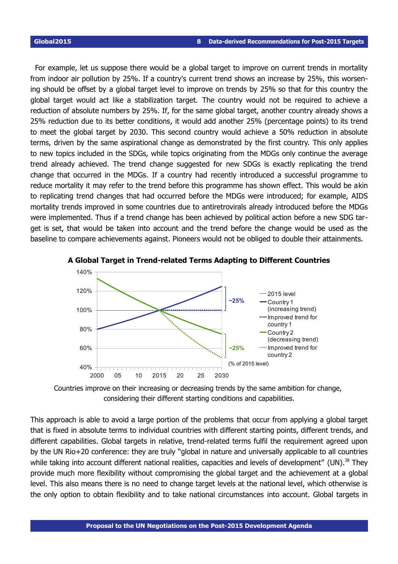For example, let us suppose there would be a global target to improve on current trends in mortality from indoor air pollution by 25%. If a country's current trend shows an increase by 25%, this worsening should be offset by a global target level to improve on trends by 25% so that for this country the global target would act like a stabilization target. The country would not be required to achieve a reduction of absolute numbers by 25%. If, for the same global target, another country already shows a 25% reduction due to its better conditions, it would add another 25% (percentage points) to its trend to meet the global target by 2030. This second country would achieve a 50% reduction in absolute terms, driven by the same aspirational change as demonstrated by the first country. This only applies to new topics included in the SDGs, while topics originating from the MDGs only continue the average trend already achieved. The trend change suggested for new SDGs is exactly replicating the trend change that occurred in the MDGs. If a country had recently introduced a successful programme to reduce mortality it may refer to the trend before this programme has shown effect. This would be akin to replicating trend changes that had occurred before the MDGs were introduced; for example, AIDS mortality trends improved in some countries due to antiretrovirals already introduced before the MDGs were implemented. Thus if a trend change has been achieved by political action before a new SDG target is set, that would be taken into account and the trend before the change would be used as the baseline to compare achievements against. Pioneers would not be obliged to double their attainments.



**A Global Target in Trend-related Terms Adapting to Different Countries**

Countries improve on their increasing or decreasing trends by the same ambition for change, considering their different starting conditions and capabilities.

This approach is able to avoid a large portion of the problems that occur from applying a global target that is fixed in absolute terms to individual countries with different starting points, different trends, and different capabilities. Global targets in relative, trend-related terms fulfil the requirement agreed upon by the UN Rio+20 conference: they are truly "global in nature and universally applicable to all countries while taking into account different national realities, capacities and levels of development" (UN).<sup>[38](#page-17-12)</sup> They provide much more flexibility without compromising the global target and the achievement at a global level. This also means there is no need to change target levels at the national level, which otherwise is the only option to obtain flexibility and to take national circumstances into account. Global targets in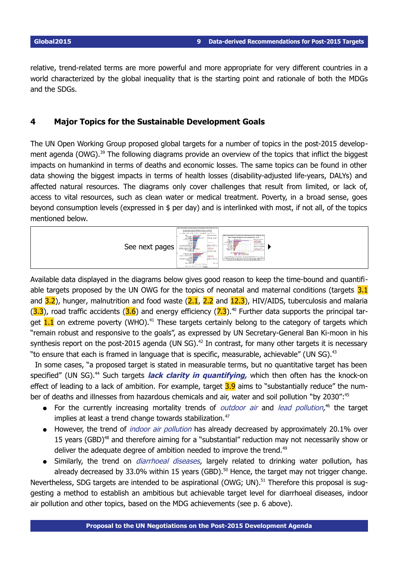relative, trend-related terms are more powerful and more appropriate for very different countries in a world characterized by the global inequality that is the starting point and rationale of both the MDGs and the SDGs.

# <span id="page-8-0"></span>**4 Major Topics for the Sustainable Development Goals**

The UN Open Working Group proposed global targets for a number of topics in the post-2015 develop-ment agenda (OWG).<sup>[39](#page-17-13)</sup> The following diagrams provide an overview of the topics that inflict the biggest impacts on humankind in terms of deaths and economic losses. The same topics can be found in other data showing the biggest impacts in terms of health losses (disability-adjusted life-years, DALYs) and affected natural resources. The diagrams only cover challenges that result from limited, or lack of, access to vital resources, such as clean water or medical treatment. Poverty, in a broad sense, goes beyond consumption levels (expressed in \$ per day) and is interlinked with most, if not all, of the topics mentioned below.



Available data displayed in the diagrams below gives good reason to keep the time-bound and quantifiable targets proposed by the UN OWG for the topics of neonatal and maternal conditions (targets 3.1 and  $3.2$ ), hunger, malnutrition and food waste  $(2.1, 2.2$  and  $12.3)$ , HIV/AIDS, tuberculosis and malaria  $(3.3)$ , road traffic accidents  $(3.6)$  and energy efficiency  $(7.3)$ .<sup>[40](#page-17-14)</sup> Further data supports the principal target  $1.1$  on extreme poverty (WHO).<sup>[41](#page-17-15)</sup> These targets certainly belong to the category of targets which "remain robust and responsive to the goals", as expressed by UN Secretary-General Ban Ki-moon in his synthesis report on the post-2015 agenda (UN SG).<sup>[42](#page-17-16)</sup> In contrast, for many other targets it is necessary "to ensure that each is framed in language that is specific, measurable, achievable" (UN SG). $43$ 

In some cases, "a proposed target is stated in measurable terms, but no quantitative target has been specified" (UN SG).<sup>[44](#page-17-18)</sup> Such targets **lack clarity in quantifying**, which then often has the knock-on effect of leading to a lack of ambition. For example, target 3.9 aims to "substantially reduce" the num-ber of deaths and illnesses from hazardous chemicals and air, water and soil pollution "by 2030":<sup>[45](#page-17-19)</sup>

- For the currently increasing mortality trends of *outdoor air* and *lead pollution*,<sup>[46](#page-17-20)</sup> the target implies at least a trend change towards stabilization.<sup>[47](#page-17-21)</sup>
- However, the trend of *indoor air pollution* has already decreased by approximately 20.1% over 15 years (GBD)<sup>[48](#page-17-22)</sup> and therefore aiming for a "substantial" reduction may not necessarily show or deliver the adequate degree of ambition needed to improve the trend.<sup>[49](#page-17-23)</sup>
- Similarly, the trend on *diarrhoeal diseases*, largely related to drinking water pollution, has already decreased by 33.0% within 15 years (GBD). $50$  Hence, the target may not trigger change.

Nevertheless, SDG targets are intended to be aspirational (OWG; UN).<sup>[51](#page-17-25)</sup> Therefore this proposal is suggesting a method to establish an ambitious but achievable target level for diarrhoeal diseases, indoor air pollution and other topics, based on the MDG achievements (see p. [6](#page-5-0) above).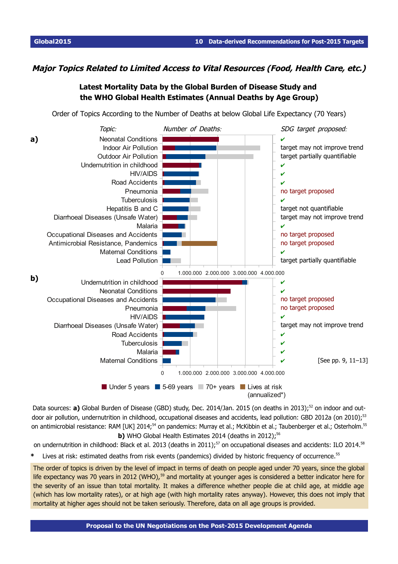## **Major Topics Related to Limited Access to Vital Resources (Food, Health Care, etc.)**

# <span id="page-9-0"></span>**Latest Mortality Data by the Global Burden of Disease Study and the WHO Global Health Estimates (Annual Deaths by Age Group)**

Order of Topics According to the Number of Deaths at below Global Life Expectancy (70 Years)



Data sources: **a)** Global Burden of Disease (GBD) study, Dec. 2014/Jan. 2015 (on deaths in 2013):<sup>[52](#page-17-26)</sup> on indoor and out-door air pollution, undernutrition in childhood, occupational diseases and accidents, lead pollution: GBD 2012a (on 2010);<sup>[53](#page-18-1)</sup> on antimicrobial resistance: RAM [UK] 2014;<sup>[54](#page-18-2)</sup> on pandemics: Murray et al.; McKibbin et al.; Taubenberger et al.; Osterholm.<sup>[55](#page-18-0)</sup> **b)** WHO Global Health Estimates 2014 (deaths in 2012);<sup>[56](#page-18-3)</sup>

on undernutrition in childhood: Black et al. 2013 (deaths in 2011);<sup>[57](#page-19-0)</sup> on occupational diseases and accidents: ILO 2014.<sup>[58](#page-19-1)</sup> **\*** Lives at risk: estimated deaths from risk events (pandemics) divided by historic frequency of occurrence.[55](#page-18-0)

The order of topics is driven by the level of impact in terms of death on people aged under 70 years, since the global life expectancy was 70 years in 2012 (WHO),<sup>[59](#page-19-2)</sup> and mortality at younger ages is considered a better indicator here for the severity of an issue than total mortality. It makes a difference whether people die at child age, at middle age (which has low mortality rates), or at high age (with high mortality rates anyway). However, this does not imply that mortality at higher ages should not be taken seriously. Therefore, data on all age groups is provided.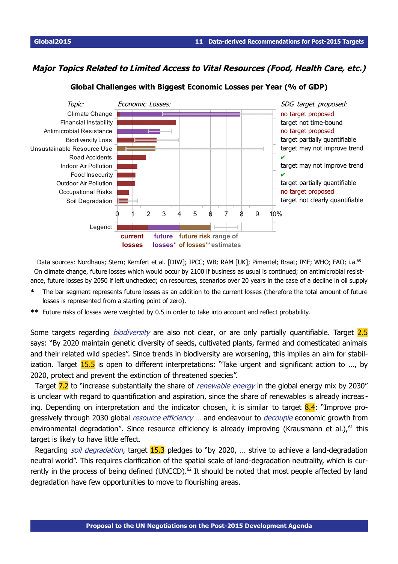## **Major Topics Related to Limited Access to Vital Resources (Food, Health Care, etc.)**



#### **Global Challenges with Biggest Economic Losses per Year (% of GDP)**

Data sources: Nordhaus; Stern; Kemfert et al. [DIW]; IPCC; WB; RAM [UK]; Pimentel; Braat; IMF; WHO; FAO; i.a.<sup>[60](#page-19-3)</sup> On climate change, future losses which would occur by 2100 if business as usual is continued; on antimicrobial resistance, future losses by 2050 if left unchecked; on resources, scenarios over 20 years in the case of a decline in oil supply

- **\*** The bar segment represents future losses as an addition to the current losses (therefore the total amount of future losses is represented from a starting point of zero).
- **\*\*** Future risks of losses were weighted by 0.5 in order to take into account and reflect probability.

Some targets regarding *biodiversity* are also not clear, or are only partially quantifiable. Target 2.5 says: "By 2020 maintain genetic diversity of seeds, cultivated plants, farmed and domesticated animals and their related wild species". Since trends in biodiversity are worsening, this implies an aim for stabilization. Target 15.5 is open to different interpretations: "Take urgent and significant action to ..., by 2020, protect and prevent the extinction of threatened species".

Target 7.2 to "increase substantially the share of *renewable energy* in the global energy mix by 2030" is unclear with regard to quantification and aspiration, since the share of renewables is already increas ing. Depending on interpretation and the indicator chosen, it is similar to target  $8.4$ : "Improve progressively through 2030 global *resource efficiency* ... and endeavour to *decouple* economic growth from environmental degradation". Since resource efficiency is already improving (Krausmann et al.),  $61$  this target is likely to have little effect.

Regarding *soil degradation*, target **15.3** pledges to "by 2020, ... strive to achieve a land-degradation neutral world". This requires clarification of the spatial scale of land-degradation neutrality, which is cur-rently in the process of being defined (UNCCD).<sup>[62](#page-22-1)</sup> It should be noted that most people affected by land degradation have few opportunities to move to flourishing areas.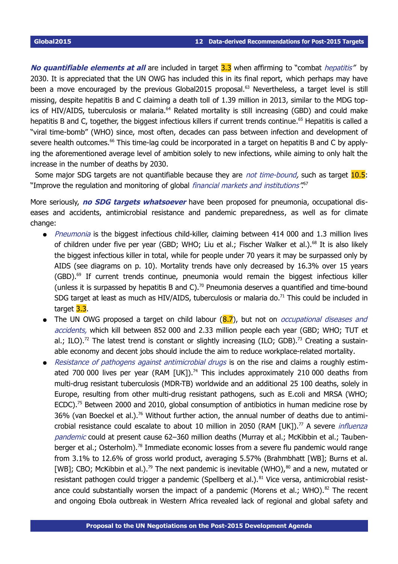**No quantifiable elements at all** are included in target 3.3 when affirming to "combat *hepatitis"* by 2030. It is appreciated that the UN OWG has included this in its final report, which perhaps may have been a move encouraged by the previous Global2015 proposal.<sup>[63](#page-22-2)</sup> Nevertheless, a target level is still missing, despite hepatitis B and C claiming a death toll of 1.39 million in 2013, similar to the MDG top-ics of HIV/AIDS, tuberculosis or malaria.<sup>[64](#page-22-3)</sup> Related mortality is still increasing (GBD) and could make hepatitis B and C, together, the biggest infectious killers if current trends continue.<sup>[65](#page-22-4)</sup> Hepatitis is called a "viral time-bomb" (WHO) since, most often, decades can pass between infection and development of severe health outcomes.<sup>[66](#page-22-5)</sup> This time-lag could be incorporated in a target on hepatitis B and C by applying the aforementioned average level of ambition solely to new infections, while aiming to only halt the increase in the number of deaths by 2030.

Some major SDG targets are not quantifiable because they are not time-bound, such as target 10.5: "Improve the regulation and monitoring of global *financial markets and institutions*"<sup>[67](#page-22-6)</sup>

More seriously, **no SDG targets whatsoever** have been proposed for pneumonia, occupational diseases and accidents, antimicrobial resistance and pandemic preparedness, as well as for climate change:

- Pneumonia is the biggest infectious child-killer, claiming between 414 000 and 1.3 million lives of children under five per year (GBD; WHO; Liu et al.; Fischer Walker et al.).<sup>[68](#page-22-7)</sup> It is also likely the biggest infectious killer in total, while for people under 70 years it may be surpassed only by AIDS (see diagrams on p. [10\)](#page-9-0). Mortality trends have only decreased by 16.3% over 15 years (GBD).[69](#page-22-8) If current trends continue, pneumonia would remain the biggest infectious killer (unless it is surpassed by hepatitis B and C).<sup>[70](#page-22-9)</sup> Pneumonia deserves a quantified and time-bound SDG target at least as much as HIV/AIDS, tuberculosis or malaria do.<sup>[71](#page-22-10)</sup> This could be included in target 3.3.
- The UN OWG proposed a target on child labour  $(8.7)$ , but not on *occupational diseases and* accidents, which kill between 852 000 and 2.33 million people each year (GBD; WHO; TUT et al.; ILO).<sup>[72](#page-22-11)</sup> The latest trend is constant or slightly increasing (ILO; GDB).<sup>[73](#page-22-12)</sup> Creating a sustainable economy and decent jobs should include the aim to reduce workplace-related mortality.
- Resistance of pathogens against antimicrobial drugs is on the rise and claims a roughly estimated 700 000 lives per year (RAM  $[UK]$ ).<sup>[74](#page-22-13)</sup> This includes approximately 210 000 deaths from multi-drug resistant tuberculosis (MDR-TB) worldwide and an additional 25 100 deaths, solely in Europe, resulting from other multi-drug resistant pathogens, such as E.coli and MRSA (WHO; ECDC).<sup>[75](#page-22-14)</sup> Between 2000 and 2010, global consumption of antibiotics in human medicine rose by 36% (van Boeckel et al.).<sup>[76](#page-23-0)</sup> Without further action, the annual number of deaths due to antimi-crobial resistance could escalate to about 10 million in 2050 (RAM [UK]).<sup>[77](#page-23-1)</sup> A severe *influenza* pandemic could at present cause 62–360 million deaths (Murray et al.; McKibbin et al.; Tauben-berger et al.; Osterholm).<sup>[78](#page-23-2)</sup> Immediate economic losses from a severe flu pandemic would range from 3.1% to 12.6% of gross world product, averaging 5.57% (Brahmbhatt [WB]; Burns et al. [WB]; CBO; McKibbin et al.).<sup>[79](#page-23-3)</sup> The next pandemic is inevitable (WHO),<sup>[80](#page-23-4)</sup> and a new, mutated or resistant pathogen could trigger a pandemic (Spellberg et al.).<sup>[81](#page-23-5)</sup> Vice versa, antimicrobial resist-ance could substantially worsen the impact of a pandemic (Morens et al.; WHO).<sup>[82](#page-23-6)</sup> The recent and ongoing Ebola outbreak in Western Africa revealed lack of regional and global safety and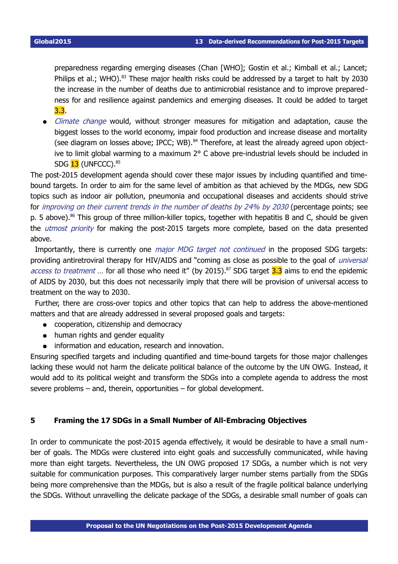preparedness regarding emerging diseases (Chan [WHO]; Gostin et al.; Kimball et al.; Lancet; Philips et al.; WHO).<sup>[83](#page-23-7)</sup> These major health risks could be addressed by a target to halt by 2030 the increase in the number of deaths due to antimicrobial resistance and to improve preparedness for and resilience against pandemics and emerging diseases. It could be added to target 3.3.

Climate change would, without stronger measures for mitigation and adaptation, cause the biggest losses to the world economy, impair food production and increase disease and mortality (see diagram on losses above; IPCC; WB).<sup>[84](#page-23-8)</sup> Therefore, at least the already agreed upon objective to limit global warming to a maximum 2° C above pre-industrial levels should be included in SDG 13 (UNFCCC). [85](#page-23-9)

The post-2015 development agenda should cover these major issues by including quantified and timebound targets. In order to aim for the same level of ambition as that achieved by the MDGs, new SDG topics such as indoor air pollution, pneumonia and occupational diseases and accidents should strive for improving on their current trends in the number of deaths by 24% by 2030 (percentage points; see p. [5](#page-4-0) above).<sup>[86](#page-23-10)</sup> This group of three million-killer topics, together with hepatitis B and C, should be given the *utmost priority* for making the post-2015 targets more complete, based on the data presented above.

Importantly, there is currently one *major MDG target not continued* in the proposed SDG targets: providing antiretroviral therapy for HIV/AIDS and "coming as close as possible to the goal of *universal* access to treatment ... for all those who need it" (by 2015).<sup>[87](#page-23-11)</sup> SDG target 3.3 aims to end the epidemic of AIDS by 2030, but this does not necessarily imply that there will be provision of universal access to treatment on the way to 2030.

Further, there are cross-over topics and other topics that can help to address the above-mentioned matters and that are already addressed in several proposed goals and targets:

- cooperation, citizenship and democracy
- human rights and gender equality
- information and education, research and innovation.

Ensuring specified targets and including quantified and time-bound targets for those major challenges lacking these would not harm the delicate political balance of the outcome by the UN OWG. Instead, it would add to its political weight and transform the SDGs into a complete agenda to address the most severe problems – and, therein, opportunities – for global development.

#### <span id="page-12-0"></span>**5 Framing the 17 SDGs in a Small Number of All-Embracing Objectives**

In order to communicate the post-2015 agenda effectively, it would be desirable to have a small number of goals. The MDGs were clustered into eight goals and successfully communicated, while having more than eight targets. Nevertheless, the UN OWG proposed 17 SDGs, a number which is not very suitable for communication purposes. This comparatively larger number stems partially from the SDGs being more comprehensive than the MDGs, but is also a result of the fragile political balance underlying the SDGs. Without unravelling the delicate package of the SDGs, a desirable small number of goals can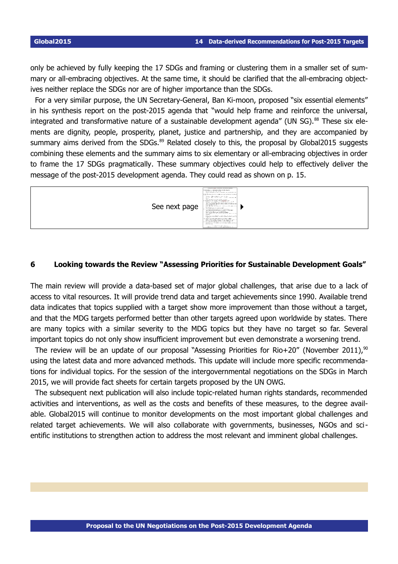only be achieved by fully keeping the 17 SDGs and framing or clustering them in a smaller set of summary or all-embracing objectives. At the same time, it should be clarified that the all-embracing objectives neither replace the SDGs nor are of higher importance than the SDGs.

For a very similar purpose, the UN Secretary-General, Ban Ki-moon, proposed "six essential elements" in his synthesis report on the post-2015 agenda that "would help frame and reinforce the universal, integrated and transformative nature of a sustainable development agenda" (UN SG).<sup>[88](#page-23-12)</sup> These six elements are dignity, people, prosperity, planet, justice and partnership, and they are accompanied by summary aims derived from the SDGs.<sup>[89](#page-23-13)</sup> Related closely to this, the proposal by Global2015 suggests combining these elements and the summary aims to six elementary or all-embracing objectives in order to frame the 17 SDGs pragmatically. These summary objectives could help to effectively deliver the message of the post-2015 development agenda. They could read as shown on p. [15.](#page-14-0)



### <span id="page-13-0"></span>**6 Looking towards the Review "Assessing Priorities for Sustainable Development Goals"**

The main review will provide a data-based set of major global challenges, that arise due to a lack of access to vital resources. It will provide trend data and target achievements since 1990. Available trend data indicates that topics supplied with a target show more improvement than those without a target, and that the MDG targets performed better than other targets agreed upon worldwide by states. There are many topics with a similar severity to the MDG topics but they have no target so far. Several important topics do not only show insufficient improvement but even demonstrate a worsening trend.

The review will be an update of our proposal "Assessing Priorities for Rio+20" (November 2011),<sup>[90](#page-23-14)</sup> using the latest data and more advanced methods. This update will include more specific recommendations for individual topics. For the session of the intergovernmental negotiations on the SDGs in March 2015, we will provide fact sheets for certain targets proposed by the UN OWG.

The subsequent next publication will also include topic-related human rights standards, recommended activities and interventions, as well as the costs and benefits of these measures, to the degree available. Global2015 will continue to monitor developments on the most important global challenges and related target achievements. We will also collaborate with governments, businesses, NGOs and scientific institutions to strengthen action to address the most relevant and imminent global challenges.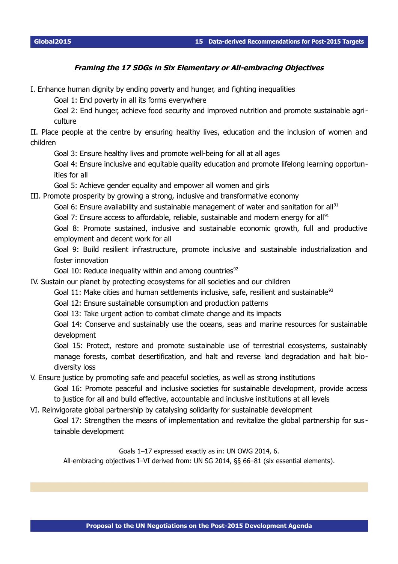### <span id="page-14-0"></span>**Framing the 17 SDGs in Six Elementary or All-embracing Objectives**

I. Enhance human dignity by ending poverty and hunger, and fighting inequalities

Goal 1: End poverty in all its forms everywhere

Goal 2: End hunger, achieve food security and improved nutrition and promote sustainable agriculture

II. Place people at the centre by ensuring healthy lives, education and the inclusion of women and children

Goal 3: Ensure healthy lives and promote well-being for all at all ages

Goal 4: Ensure inclusive and equitable quality education and promote lifelong learning opportunities for all

Goal 5: Achieve gender equality and empower all women and girls

III. Promote prosperity by growing a strong, inclusive and transformative economy

Goal 6: Ensure availability and sustainable management of water and sanitation for all<sup>[91](#page-23-15)</sup>

Goal 7: Ensure access to affordable, reliable, sustainable and modern energy for all<sup>[91](#page-23-15)</sup>

Goal 8: Promote sustained, inclusive and sustainable economic growth, full and productive employment and decent work for all

Goal 9: Build resilient infrastructure, promote inclusive and sustainable industrialization and foster innovation

Goal 10: Reduce inequality within and among countries<sup>[92](#page-23-16)</sup>

IV. Sustain our planet by protecting ecosystems for all societies and our children

Goal 11: Make cities and human settlements inclusive, safe, resilient and sustainable<sup>[93](#page-23-17)</sup>

Goal 12: Ensure sustainable consumption and production patterns

Goal 13: Take urgent action to combat climate change and its impacts

Goal 14: Conserve and sustainably use the oceans, seas and marine resources for sustainable development

Goal 15: Protect, restore and promote sustainable use of terrestrial ecosystems, sustainably manage forests, combat desertification, and halt and reverse land degradation and halt biodiversity loss

V. Ensure justice by promoting safe and peaceful societies, as well as strong institutions

Goal 16: Promote peaceful and inclusive societies for sustainable development, provide access to justice for all and build effective, accountable and inclusive institutions at all levels

VI. Reinvigorate global partnership by catalysing solidarity for sustainable development

Goal 17: Strengthen the means of implementation and revitalize the global partnership for sus tainable development

Goals 1–17 expressed exactly as in: UN OWG 2014, 6.

All-embracing objectives I–VI derived from: UN SG 2014, §§ 66–81 (six essential elements).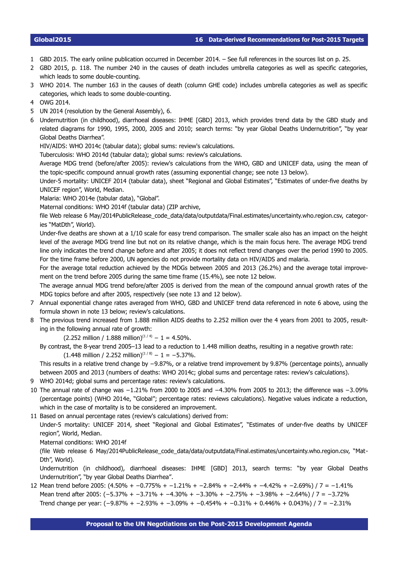- <span id="page-15-1"></span>1 GBD 2015. The early online publication occurred in December 2014. – See full references in the sources list on p. [25.](#page-24-0)
- <span id="page-15-0"></span>2 GBD 2015, p. 118. The number 240 in the causes of death includes umbrella categories as well as specific categories, which leads to some double-counting.
- <span id="page-15-2"></span>3 WHO 2014. The number 163 in the causes of death (column GHE code) includes umbrella categories as well as specific categories, which leads to some double-counting.
- <span id="page-15-3"></span>4 OWG 2014.
- <span id="page-15-4"></span>5 UN 2014 (resolution by the General Assembly), 6.
- <span id="page-15-5"></span>6 Undernutrition (in childhood), diarrhoeal diseases: IHME [GBD] 2013, which provides trend data by the GBD study and related diagrams for 1990, 1995, 2000, 2005 and 2010; search terms: "by year Global Deaths Undernutrition", "by year Global Deaths Diarrhea".
	- HIV/AIDS: WHO 2014c (tabular data); global sums: review's calculations.
	- Tuberculosis: WHO 2014d (tabular data); global sums: review's calculations.

Average MDG trend (before/after 2005): review's calculations from the WHO, GBD and UNICEF data, using the mean of the topic-specific compound annual growth rates (assuming exponential change; see note [13](#page-16-0) below).

Under-5 mortality: UNICEF 2014 (tabular data), sheet "Regional and Global Estimates", "Estimates of under-five deaths by UNICEF region", World, Median.

Malaria: WHO 2014e (tabular data), "Global".

Maternal conditions: WHO 2014f (tabular data) (ZIP archive,

file Web release 6 May/2014PublicRelease\_code\_data/data/outputdata/Final.estimates/uncertainty.who.region.csv, categories "MatDth", World).

Under-five deaths are shown at a 1/10 scale for easy trend comparison. The smaller scale also has an impact on the height level of the average MDG trend line but not on its relative change, which is the main focus here. The average MDG trend line only indicates the trend change before and after 2005; it does not reflect trend changes over the period 1990 to 2005. For the time frame before 2000, UN agencies do not provide mortality data on HIV/AIDS and malaria.

For the average total reduction achieved by the MDGs between 2005 and 2013 (26.2%) and the average total improvement on the trend before 2005 during the same time frame (15.4%), see note [12](#page-15-11) below.

The average annual MDG trend before/after 2005 is derived from the mean of the compound annual growth rates of the MDG topics before and after 2005, respectively (see note [13](#page-16-0) and [12](#page-15-11) below).

- <span id="page-15-6"></span>7 Annual exponential change rates averaged from WHO, GBD and UNICEF trend data referenced in note [6](#page-15-5) above, using the formula shown in note [13](#page-16-0) below; review's calculations.
- <span id="page-15-7"></span>8 The previous trend increased from 1.888 million AIDS deaths to 2.252 million over the 4 years from 2001 to 2005, resulting in the following annual rate of growth:
	- $(2.252 \text{ million} / 1.888 \text{ million})^{(1/4)} 1 = 4.50\%$ .
	- By contrast, the 8-year trend 2005–13 lead to a reduction to 1.448 million deaths, resulting in a negative growth rate:  $(1.448 \text{ million} / 2.252 \text{ million})^{(1/8)} - 1 = -5.37\%$ .

This results in a relative trend change by −9.87%, or a relative trend improvement by 9.87% (percentage points), annually between 2005 and 2013 (numbers of deaths: WHO 2014c; global sums and percentage rates: review's calculations).

- <span id="page-15-8"></span>9 WHO 2014d; global sums and percentage rates: review's calculations.
- <span id="page-15-9"></span>10 The annual rate of change was −1.21% from 2000 to 2005 and −4.30% from 2005 to 2013; the difference was −3.09% (percentage points) (WHO 2014e, "Global"; percentage rates: reviews calculations). Negative values indicate a reduction, which in the case of mortality is to be considered an improvement.
- <span id="page-15-10"></span>11 Based on annual percentage rates (review's calculations) derived from:

Under-5 mortality: UNICEF 2014, sheet "Regional and Global Estimates", "Estimates of under-five deaths by UNICEF region", World, Median.

Maternal conditions: WHO 2014f

(file Web release 6 May/2014PublicRelease\_code\_data/data/outputdata/Final.estimates/uncertainty.who.region.csv, "Mat-Dth", World).

Undernutrition (in childhood), diarrhoeal diseases: IHME [GBD] 2013, search terms: "by year Global Deaths Undernutrition", "by year Global Deaths Diarrhea".

<span id="page-15-11"></span>12 Mean trend before 2005: (4.50% + −0.775% + −1.21% + −2.84% + −2.44% + −4.42% + −2.69%) / 7 = −1.41% Mean trend after 2005: (−5.37% + −3.71% + −4.30% + −3.30% + −2.75% + −3.98% + −2.64%) / 7 = −3.72% Trend change per year: (−9.87% + −2.93% + −3.09% + −0.454% + −0.31% + 0.446% + 0.043%) / 7 = −2.31%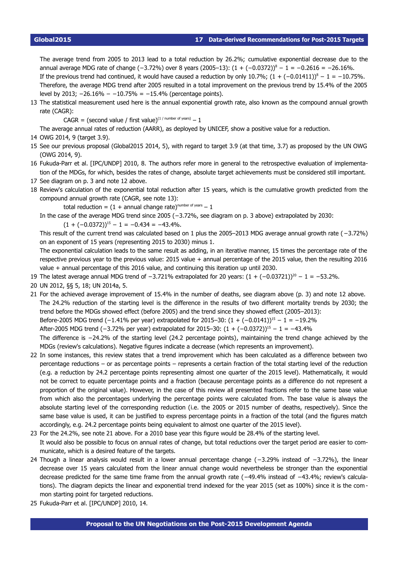The average trend from 2005 to 2013 lead to a total reduction by 26.2%; cumulative exponential decrease due to the annual average MDG rate of change (−3.72%) over 8 years (2005–13):  $(1 + (-0.0372))^8 - 1 = -0.2616 = -26.16\%$ . If the previous trend had continued, it would have caused a reduction by only 10.7%;  $(1 + (-0.01411))^8 - 1 = -10.75\%$ . Therefore, the average MDG trend after 2005 resulted in a total improvement on the previous trend by 15.4% of the 2005 level by 2013;  $-26.16\% - 10.75\% = -15.4\%$  (percentage points).

<span id="page-16-0"></span>13 The statistical measurement used here is the annual exponential growth rate, also known as the compound annual growth rate (CAGR):

 $CAGR = (second value / first value)^{(1 / number of years)} - 1$ 

<span id="page-16-1"></span>The average annual rates of reduction (AARR), as deployed by UNICEF, show a positive value for a reduction.

- 14 OWG 2014, 9 (target 3.9).
- <span id="page-16-2"></span>15 See our previous proposal (Global2015 2014, 5), with regard to target 3.9 (at that time, 3.7) as proposed by the UN OWG (OWG 2014, 9).
- <span id="page-16-3"></span>16 Fukuda-Parr et al. [IPC/UNDP] 2010, 8. The authors refer more in general to the retrospective evaluation of implementation of the MDGs, for which, besides the rates of change, absolute target achievements must be considered still important.
- <span id="page-16-4"></span>17 See diagram on p. [3](#page-2-0) and note [12](#page-15-11) above.
- <span id="page-16-5"></span>18 Review's calculation of the exponential total reduction after 15 years, which is the cumulative growth predicted from the compound annual growth rate (CAGR, see note [13\)](#page-16-0):

total reduction =  $(1 +$  annual change rate)<sup>number of years</sup> - 1

In the case of the average MDG trend since 2005 (−3.72%, see diagram on p. [3](#page-2-0) above) extrapolated by 2030:

 $(1 + (-0.0372))^{15} - 1 = -0.434 = -43.4\%$ .

This result of the current trend was calculated based on 1 plus the 2005–2013 MDG average annual growth rate (−3.72%) on an exponent of 15 years (representing 2015 to 2030) minus 1.

The exponential calculation leads to the same result as adding, in an iterative manner, 15 times the percentage rate of the respective previous year to the previous value: 2015 value + annual percentage of the 2015 value, then the resulting 2016 value + annual percentage of this 2016 value, and continuing this iteration up until 2030.

- <span id="page-16-6"></span>19 The latest average annual MDG trend of  $-3.721\%$  extrapolated for 20 years:  $(1 + (-0.03721))^{20} - 1 = -53.2\%$ .
- <span id="page-16-7"></span>20 UN 2012, §§ 5, 18; UN 2014a, 5.
- <span id="page-16-8"></span>21 For the achieved average improvement of 15.4% in the number of deaths, see diagram above (p. [3\)](#page-2-0) and note [12](#page-15-11) above. The 24.2% reduction of the starting level is the difference in the results of two different mortality trends by 2030; the trend before the MDGs showed effect (before 2005) and the trend since they showed effect (2005–2013): Before-2005 MDG trend (-1.41% per year) extrapolated for 2015–30:  $(1 + (-0.0141))^{15} - 1 = -19.2\%$ After-2005 MDG trend (−3.72% per year) extrapolated for 2015–30:  $(1 + (-0.0372))^{15} - 1 = -43.4\%$ The difference is −24.2% of the starting level (24.2 percentage points), maintaining the trend change achieved by the MDGs (review's calculations). Negative figures indicate a decrease (which represents an improvement).
- <span id="page-16-9"></span>22 In some instances, this review states that a trend improvement which has been calculated as a difference between two percentage reductions – or as percentage points – represents a certain fraction of the total starting level of the reduction (e.g. a reduction by 24.2 percentage points representing almost one quarter of the 2015 level). Mathematically, it would not be correct to equate percentage points and a fraction (because percentage points as a difference do not represent a proportion of the original value). However, in the case of this review all presented fractions refer to the same base value from which also the percentages underlying the percentage points were calculated from. The base value is always the absolute starting level of the corresponding reduction (i.e. the 2005 or 2015 number of deaths, respectively). Since the same base value is used, it can be justified to express percentage points in a fraction of the total (and the figures match accordingly, e.g. 24.2 percentage points being equivalent to almost one quarter of the 2015 level).
- <span id="page-16-10"></span>23 For the 24.2%, see note [21](#page-16-8) above. For a 2010 base year this figure would be 28.4% of the starting level. It would also be possible to focus on annual rates of change, but total reductions over the target period are easier to communicate, which is a desired feature of the targets.
- <span id="page-16-11"></span>24 Though a linear analysis would result in a lower annual percentage change (−3.29% instead of −3.72%), the linear decrease over 15 years calculated from the linear annual change would nevertheless be stronger than the exponential decrease predicted for the same time frame from the annual growth rate (−49.4% instead of −43.4%; review's calculations). The diagram depicts the linear and exponential trend indexed for the year 2015 (set as 100%) since it is the com mon starting point for targeted reductions.
- <span id="page-16-12"></span>25 Fukuda-Parr et al. [IPC/UNDP] 2010, 14.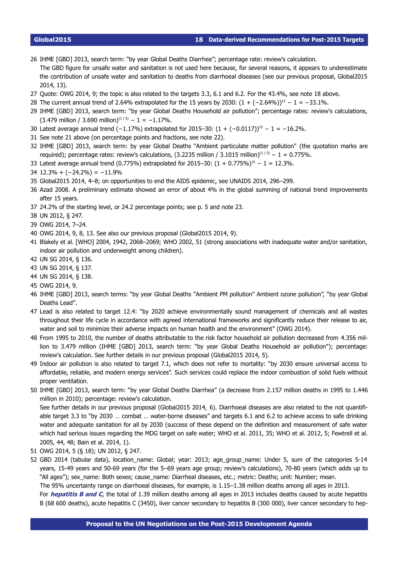#### **Global2015 18 Data-derived Recommendations for Post-2015 Targets**

- <span id="page-17-0"></span>26 IHME [GBD] 2013, search term: "by year Global Deaths Diarrhea"; percentage rate: review's calculation. The GBD figure for unsafe water and sanitation is not used here because, for several reasons, it appears to underestimate the contribution of unsafe water and sanitation to deaths from diarrhoeal diseases (see our previous proposal, Global2015 2014, 13).
- <span id="page-17-1"></span>27 Quote: OWG 2014, 9; the topic is also related to the targets 3.3, 6.1 and 6.2. For the 43.4%, see note [18](#page-16-5) above.
- <span id="page-17-2"></span>28 The current annual trend of 2.64% extrapolated for the 15 years by 2030:  $(1 + (-2.64\%))^{15} - 1 = -33.1\%$ .
- <span id="page-17-3"></span>29 IHME [GBD] 2013, search term: "by year Global Deaths Household air pollution"; percentage rates: review's calculations,  $(3.479 \text{ million} / 3.690 \text{ million})^{(1/5)} - 1 = -1.17\%$ .
- <span id="page-17-4"></span>30 Latest average annual trend (-1.17%) extrapolated for 2015–30:  $(1 + (-0.0117))^{15}$  – 1 = -16.2%.
- <span id="page-17-5"></span>31 See note [21](#page-16-8) above (on percentage points and fractions, see note [22\)](#page-16-9).
- <span id="page-17-6"></span>32 IHME [GBD] 2013, search term: by year Global Deaths "Ambient particulate matter pollution" (the quotation marks are required); percentage rates: review's calculations, (3.2235 million / 3.1015 million)<sup>(1/5)</sup> – 1 = 0.775%.
- <span id="page-17-7"></span>33 Latest average annual trend (0.775%) extrapolated for 2015–30:  $(1 + 0.775\%)^{15} - 1 = 12.3\%$ .
- <span id="page-17-8"></span>34 12.3% + (−24.2%) = −11.9%
- <span id="page-17-9"></span>35 Global2015 2014, 4–8; on opportunities to end the AIDS epidemic, see UNAIDS 2014, 296–299.
- <span id="page-17-10"></span>36 Azad 2008. A preliminary estimate showed an error of about 4% in the global summing of national trend improvements after 15 years.
- <span id="page-17-11"></span>37 24.2% of the starting level, or 24.2 percentage points; see p. [5](#page-4-0) and note [23.](#page-16-10)
- <span id="page-17-12"></span>38 UN 2012, § 247.
- <span id="page-17-13"></span>39 OWG 2014, 7–24.
- <span id="page-17-14"></span>40 OWG 2014, 9, 8, 13. See also our previous proposal (Global2015 2014, 9).
- <span id="page-17-15"></span>41 Blakely et al. [WHO] 2004, 1942, 2068–2069; WHO 2002, 51 (strong associations with inadequate water and/or sanitation, indoor air pollution and underweight among children).
- <span id="page-17-16"></span>42 UN SG 2014, § 136.
- <span id="page-17-17"></span>43 UN SG 2014, § 137.
- <span id="page-17-18"></span>44 UN SG 2014, § 138.
- <span id="page-17-19"></span>45 OWG 2014, 9.
- <span id="page-17-20"></span>46 IHME [GBD] 2013, search terms: "by year Global Deaths "Ambient PM pollution" Ambient ozone pollution", "by year Global Deaths Lead".
- <span id="page-17-21"></span>47 Lead is also related to target 12.4: "by 2020 achieve environmentally sound management of chemicals and all wastes throughout their life cycle in accordance with agreed international frameworks and significantly reduce their release to air, water and soil to minimize their adverse impacts on human health and the environment" (OWG 2014).
- <span id="page-17-22"></span>48 From 1995 to 2010, the number of deaths attributable to the risk factor household air pollution decreased from 4.356 million to 3.479 million (IHME [GBD] 2013, search term: "by year Global Deaths Household air pollution"); percentage: review's calculation. See further details in our previous proposal (Global2015 2014, 5).
- <span id="page-17-23"></span>49 Indoor air pollution is also related to target 7.1, which does not refer to mortality: "by 2030 ensure universal access to affordable, reliable, and modern energy services". Such services could replace the indoor combustion of solid fuels without proper ventilation.
- <span id="page-17-24"></span>50 IHME [GBD] 2013, search term: "by year Global Deaths Diarrhea" (a decrease from 2.157 million deaths in 1995 to 1.446 million in 2010); percentage: review's calculation.

See further details in our previous proposal (Global2015 2014, 6). Diarrhoeal diseases are also related to the not quantifiable target 3.3 to "by 2030 ... combat ... water-borne diseases" and targets 6.1 and 6.2 to achieve access to safe drinking water and adequate sanitation for all by 2030 (success of these depend on the definition and measurement of safe water which had serious issues regarding the MDG target on safe water; WHO et al. 2011, 35; WHO et al. 2012, 5; Fewtrell et al. 2005, 44, 48; Bain et al. 2014, 1).

- <span id="page-17-25"></span>51 OWG 2014, 5 (§ 18); UN 2012, § 247.
- <span id="page-17-26"></span>52 GBD 2014 (tabular data), location\_name: Global; year: 2013; age\_group\_name: Under 5, sum of the categories 5-14 years, 15-49 years and 50-69 years (for the 5–69 years age group; review's calculations), 70-80 years (which adds up to "All ages"); sex\_name: Both sexes; cause\_name: Diarrheal diseases, etc.; metric: Deaths; unit: Number; mean.

The 95% uncertainty range on diarrhoeal diseases, for example, is 1.15–1.38 million deaths among all ages in 2013.

For **hepatitis B and C**, the total of 1.39 million deaths among all ages in 2013 includes deaths caused by acute hepatitis B (68 600 deaths), acute hepatitis C (3450), liver cancer secondary to hepatitis B (300 000), liver cancer secondary to hep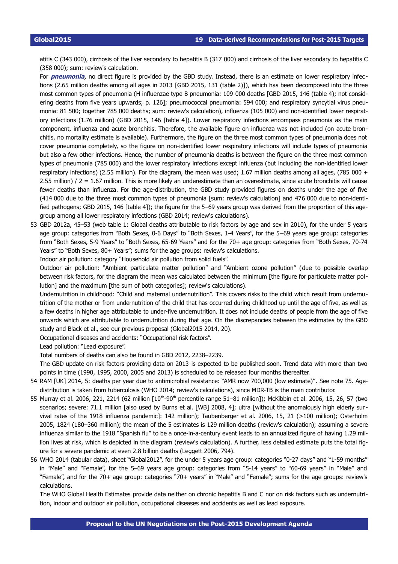atitis C (343 000), cirrhosis of the liver secondary to hepatitis B (317 000) and cirrhosis of the liver secondary to hepatitis C (358 000); sum: review's calculation.

For **pneumonia**, no direct figure is provided by the GBD study. Instead, there is an estimate on lower respiratory infec tions (2.65 million deaths among all ages in 2013 [GBD 2015, 131 (table 2)]), which has been decomposed into the three most common types of pneumonia (H influenzae type B pneumonia: 109 000 deaths [GBD 2015, 146 (table 4); not considering deaths from five years upwards; p. 126]; pneumococcal pneumonia: 594 000; and respiratory syncytial virus pneumonia: 81 500; together 785 000 deaths; sum: review's calculation), influenza (105 000) and non-identified lower respiratory infections (1.76 million) (GBD 2015, 146 [table 4]). Lower respiratory infections encompass pneumonia as the main component, influenza and acute bronchitis. Therefore, the available figure on influenza was not included (on acute bronchitis, no mortality estimate is available). Furthermore, the figure on the three most common types of pneumonia does not cover pneumonia completely, so the figure on non-identified lower respiratory infections will include types of pneumonia but also a few other infections. Hence, the number of pneumonia deaths is between the figure on the three most common types of pneumonia (785 000) and the lower respiratory infections except influenza (but including the non-identified lower respiratory infections) (2.55 million). For the diagram, the mean was used; 1.67 million deaths among all ages, (785 000 + 2.55 million) / 2 = 1.67 million. This is more likely an underestimate than an overestimate, since acute bronchitis will cause fewer deaths than influenza. For the age-distribution, the GBD study provided figures on deaths under the age of five (414 000 due to the three most common types of pneumonia [sum: review's calculation] and 476 000 due to non-identified pathogens; GBD 2015, 146 [table 4]); the figure for the 5–69 years group was derived from the proportion of this agegroup among all lower respiratory infections (GBD 2014; review's calculations).

<span id="page-18-1"></span>53 GBD 2012a, 45–53 (web table 1: Global deaths attributable to risk factors by age and sex in 2010), for the under 5 years age group: categories from "Both Sexes, 0-6 Days" to "Both Sexes, 1-4 Years", for the 5–69 years age group: categories from "Both Sexes, 5-9 Years" to "Both Sexes, 65-69 Years" and for the 70+ age group: categories from "Both Sexes, 70-74 Years" to "Both Sexes, 80+ Years"; sums for the age groups: review's calculations.

Indoor air pollution: category "Household air pollution from solid fuels".

Outdoor air pollution: "Ambient particulate matter pollution" and "Ambient ozone pollution" (due to possible overlap between risk factors, for the diagram the mean was calculated between the minimum [the figure for particulate matter pollution] and the maximum [the sum of both categories]; review's calculations).

Undernutrition in childhood: "Child and maternal undernutrition". This covers risks to the child which result from undernutrition of the mother or from undernutrition of the child that has occurred during childhood up until the age of five, as well as a few deaths in higher age attributable to under-five undernutrition. It does not include deaths of people from the age of five onwards which are attributable to undernutrition during that age. On the discrepancies between the estimates by the GBD study and Black et al., see our previous proposal (Global2015 2014, 20).

Occupational diseases and accidents: "Occupational risk factors".

Lead pollution: "Lead exposure".

Total numbers of deaths can also be found in GBD 2012, 2238–2239.

The GBD update on risk factors providing data on 2013 is expected to be published soon. Trend data with more than two points in time (1990, 1995, 2000, 2005 and 2013) is scheduled to be released four months thereafter.

- <span id="page-18-2"></span>54 RAM [UK] 2014, 5: deaths per year due to antimicrobial resistance: "AMR now 700,000 (low estimate)". See note [75.](#page-22-14) Agedistribution is taken from tuberculosis (WHO 2014; review's calculations), since MDR-TB is the main contributor.
- <span id="page-18-0"></span>55 Murray et al. 2006, 221, 2214 (62 million  $[10<sup>th</sup>-90<sup>th</sup>$  percentile range 51–81 million]); McKibbin et al. 2006, 15, 26, 57 (two scenarios; severe: 71.1 million [also used by Burns et al. [WB] 2008, 4]; ultra [without the anomalously high elderly survival rates of the 1918 influenza pandemic]: 142 million); Taubenberger et al. 2006, 15, 21 (>100 million); Osterholm 2005, 1824 (180–360 million); the mean of the 5 estimates is 129 million deaths (review's calculation); assuming a severe influenza similar to the 1918 "Spanish flu" to be a once-in-a-century event leads to an annualized figure of having 1.29 million lives at risk, which is depicted in the diagram (review's calculation). A further, less detailed estimate puts the total figure for a severe pandemic at even 2.8 billion deaths (Leggett 2006, 794).
- <span id="page-18-3"></span>56 WHO 2014 (tabular data), sheet "Global2012", for the under 5 years age group: categories "0-27 days" and "1-59 months" in "Male" and "Female", for the 5–69 years age group: categories from "5-14 years" to "60-69 years" in "Male" and "Female", and for the 70+ age group: categories "70+ years" in "Male" and "Female"; sums for the age groups: review's calculations.

The WHO Global Health Estimates provide data neither on chronic hepatitis B and C nor on risk factors such as undernutrition, indoor and outdoor air pollution, occupational diseases and accidents as well as lead exposure.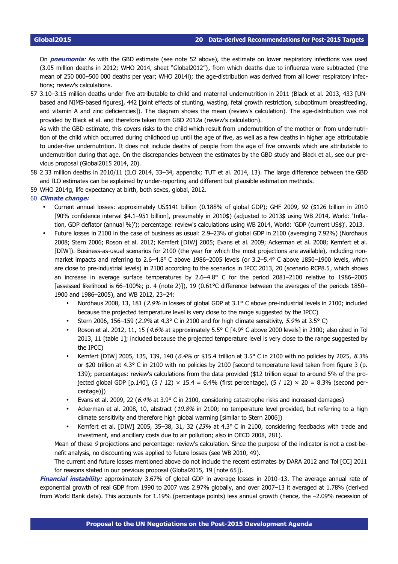On **pneumonia**: As with the GBD estimate (see note [52](#page-17-26) above), the estimate on lower respiratory infections was used (3.05 million deaths in 2012; WHO 2014, sheet "Global2012"), from which deaths due to influenza were subtracted (the mean of 250 000–500 000 deaths per year; WHO 2014i); the age-distribution was derived from all lower respiratory infections; review's calculations.

<span id="page-19-0"></span>57 3.10–3.15 million deaths under five attributable to child and maternal undernutrition in 2011 (Black et al. 2013, 433 [UNbased and NIMS-based figures], 442 [joint effects of stunting, wasting, fetal growth restriction, suboptimum breastfeeding, and vitamin A and zinc deficiencies]). The diagram shows the mean (review's calculation). The age-distribution was not provided by Black et al. and therefore taken from GBD 2012a (review's calculation).

As with the GBD estimate, this covers risks to the child which result from undernutrition of the mother or from undernutrition of the child which occurred during childhood up until the age of five, as well as a few deaths in higher age attributable to under-five undernutrition. It does not include deaths of people from the age of five onwards which are attributable to undernutrition during that age. On the discrepancies between the estimates by the GBD study and Black et al., see our previous proposal (Global2015 2014, 20).

- <span id="page-19-1"></span>58 2.33 million deaths in 2010/11 (ILO 2014, 33–34, appendix; TUT et al. 2014, 13). The large difference between the GBD and ILO estimates can be explained by under-reporting and different but plausible estimation methods.
- <span id="page-19-2"></span>59 WHO 2014g, life expectancy at birth, both sexes, global, 2012.

#### <span id="page-19-3"></span>60 **Climate change:**

- Current annual losses: approximately US\$141 billion (0.188% of global GDP); GHF 2009, 92 (\$126 billion in 2010 [90% confidence interval \$4.1–951 billion], presumably in 2010\$) (adjusted to 2013\$ using WB 2014, World: 'Inflation, GDP deflator (annual %)'); percentage: review's calculations using WB 2014, World: 'GDP (current US\$)', 2013.
- Future losses in 2100 in the case of business as usual: 2.9–23% of global GDP in 2100 (averaging 7.92%) (Nordhaus 2008; Stern 2006; Roson et al. 2012; Kemfert [DIW] 2005; Evans et al. 2009; Ackerman et al. 2008; Kemfert et al. [DIW]). Business-as-usual scenarios for 2100 (the year for which the most projections are available), including nonmarket impacts and referring to 2.6–4.8° C above 1986–2005 levels (or 3.2–5.4° C above 1850–1900 levels, which are close to pre-industrial levels) in 2100 according to the scenarios in IPCC 2013, 20 (scenario RCP8.5, which shows an increase in average surface temperatures by 2.6–4.8° C for the period 2081–2100 relative to 1986–2005 [assessed likelihood is 66–100%; p. 4 (note 2)]), 19 (0.61°C difference between the averages of the periods 1850– 1900 and 1986–2005), and WB 2012, 23–24:
	- Nordhaus 2008, 13, 181 (2.9% in losses of global GDP at 3.1° C above pre-industrial levels in 2100; included because the projected temperature level is very close to the range suggested by the IPCC)
	- Stern 2006, 156–159 (2.9% at 4.3° C in 2100 and for high climate sensitivity, 5.9% at 3.5° C)
	- Roson et al. 2012, 11, 15 (4.6% at approximately 5.5° C [4.9° C above 2000 levels] in 2100; also cited in Tol 2013, 11 [table 1]; included because the projected temperature level is very close to the range suggested by the IPCC)
	- Kemfert [DIW] 2005, 135, 139, 140 (6.4% or \$15.4 trillion at 3.5° C in 2100 with no policies by 2025, 8.3% or \$20 trillion at 4.3° C in 2100 with no policies by 2100 [second temperature level taken from figure 3 (p. 139); percentages: review's calculations from the data provided (\$12 trillion equal to around 5% of the projected global GDP [p.140],  $(5 / 12) \times 15.4 = 6.4\%$  (first percentage),  $(5 / 12) \times 20 = 8.3\%$  (second percentage)])
	- Evans et al. 2009, 22 (6.4% at 3.9° C in 2100, considering catastrophe risks and increased damages)
	- Ackerman et al. 2008, 10, abstract (10.8% in 2100; no temperature level provided, but referring to a high climate sensitivity and therefore high global warming [similar to Stern 2006])
	- Kemfert et al. [DIW] 2005, 35–38, 31, 32 (23% at 4.3° C in 2100, considering feedbacks with trade and investment, and ancillary costs due to air pollution; also in OECD 2008, 281).

Mean of these 9 projections and percentage: review's calculation. Since the purpose of the indicator is not a cost-benefit analysis, no discounting was applied to future losses (see WB 2010, 49).

The current and future losses mentioned above do not include the recent estimates by DARA 2012 and Tol [CC] 2011 for reasons stated in our previous proposal (Global2015, 19 [note 65]).

**Financial instability:** approximately 3.67% of global GDP in average losses in 2010–13. The average annual rate of exponential growth of real GDP from 1990 to 2007 was 2.97% globally, and over 2007–13 it averaged at 1.78% (derived from World Bank data). This accounts for 1.19% (percentage points) less annual growth (hence, the –2.09% recession of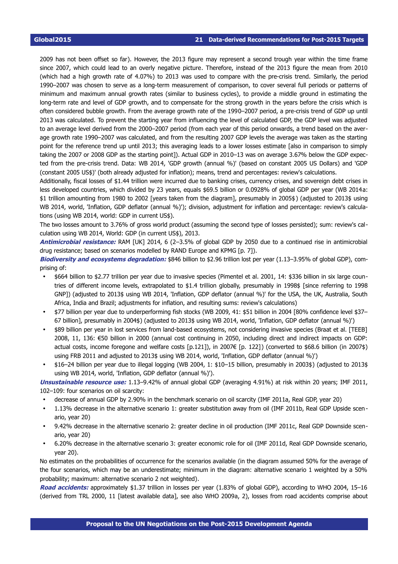2009 has not been offset so far). However, the 2013 figure may represent a second trough year within the time frame since 2007, which could lead to an overly negative picture. Therefore, instead of the 2013 figure the mean from 2010 (which had a high growth rate of 4.07%) to 2013 was used to compare with the pre-crisis trend. Similarly, the period 1990–2007 was chosen to serve as a long-term measurement of comparison, to cover several full periods or patterns of minimum and maximum annual growth rates (similar to business cycles), to provide a middle ground in estimating the long-term rate and level of GDP growth, and to compensate for the strong growth in the years before the crisis which is often considered bubble growth. From the average growth rate of the 1990–2007 period, a pre-crisis trend of GDP up until 2013 was calculated. To prevent the starting year from influencing the level of calculated GDP, the GDP level was adjusted to an average level derived from the 2000–2007 period (from each year of this period onwards, a trend based on the average growth rate 1990–2007 was calculated, and from the resulting 2007 GDP levels the average was taken as the starting point for the reference trend up until 2013; this averaging leads to a lower losses estimate [also in comparison to simply taking the 2007 or 2008 GDP as the starting point]). Actual GDP in 2010–13 was on average 3.67% below the GDP expected from the pre-crisis trend. Data: WB 2014, 'GDP growth (annual %)' (based on constant 2005 US Dollars) and 'GDP (constant 2005 US\$)' (both already adjusted for inflation); means, trend and percentages: review's calculations.

Additionally, fiscal losses of \$1.44 trillion were incurred due to banking crises, currency crises, and sovereign debt crises in less developed countries, which divided by 23 years, equals \$69.5 billion or 0.0928% of global GDP per year (WB 2014a: \$1 trillion amounting from 1980 to 2002 [years taken from the diagram], presumably in 2005\$) (adjusted to 2013\$ using WB 2014, world, 'Inflation, GDP deflator (annual %)'); division, adjustment for inflation and percentage: review's calculations (using WB 2014, world: GDP in current US\$).

The two losses amount to 3.76% of gross world product (assuming the second type of losses persisted); sum: review's calculation using WB 2014, World: GDP (in current US\$), 2013.

**Antimicrobial resistance:** RAM [UK] 2014, 6 (2–3.5% of global GDP by 2050 due to a continued rise in antimicrobial drug resistance; based on scenarios modelled by RAND Europe and KPMG [p. 7]).

**Biodiversity and ecosystems degradation:** \$846 billion to \$2.96 trillion lost per year (1.13–3.95% of global GDP), comprising of:

- \$664 billion to \$2.77 trillion per year due to invasive species (Pimentel et al. 2001, 14: \$336 billion in six large countries of different income levels, extrapolated to \$1.4 trillion globally, presumably in 1998\$ [since referring to 1998 GNP]) (adjusted to 2013\$ using WB 2014, 'Inflation, GDP deflator (annual %)' for the USA, the UK, Australia, South Africa, India and Brazil; adjustments for inflation, and resulting sums: review's calculations)
- \$77 billion per year due to underperforming fish stocks (WB 2009, 41: \$51 billion in 2004 [80% confidence level \$37– 67 billion], presumably in 2004\$) (adjusted to 2013\$ using WB 2014, world, 'Inflation, GDP deflator (annual %)')
- \$89 billion per year in lost services from land-based ecosystems, not considering invasive species (Braat et al. [TEEB] 2008, 11, 136: €50 billion in 2000 (annual cost continuing in 2050, including direct and indirect impacts on GDP: actual costs, income foregone and welfare costs [p.121]), in 2007€ [p. 122]) (converted to \$68.6 billion (in 2007\$) using FRB 2011 and adjusted to 2013\$ using WB 2014, world, 'Inflation, GDP deflator (annual %)')
- \$16–24 billion per year due to illegal logging (WB 2004, 1: \$10–15 billion, presumably in 2003\$) (adjusted to 2013\$ using WB 2014, world, 'Inflation, GDP deflator (annual %)').

**Unsustainable resource use:** 1.13–9.42% of annual global GDP (averaging 4.91%) at risk within 20 years; IMF 2011, 102–109: four scenarios on oil scarcity:

- decrease of annual GDP by 2.90% in the benchmark scenario on oil scarcity (IMF 2011a, Real GDP, year 20)
- 1.13% decrease in the alternative scenario 1: greater substitution away from oil (IMF 2011b, Real GDP Upside scenario, year 20)
- 9.42% decrease in the alternative scenario 2: greater decline in oil production (IMF 2011c, Real GDP Downside scenario, year 20)
- 6.20% decrease in the alternative scenario 3: greater economic role for oil (IMF 2011d, Real GDP Downside scenario, year 20).

No estimates on the probabilities of occurrence for the scenarios available (in the diagram assumed 50% for the average of the four scenarios, which may be an underestimate; minimum in the diagram: alternative scenario 1 weighted by a 50% probability; maximum: alternative scenario 2 not weighted).

**Road accidents:** approximately \$1.37 trillion in losses per year (1.83% of global GDP), according to WHO 2004, 15–16 (derived from TRL 2000, 11 [latest available data], see also WHO 2009a, 2), losses from road accidents comprise about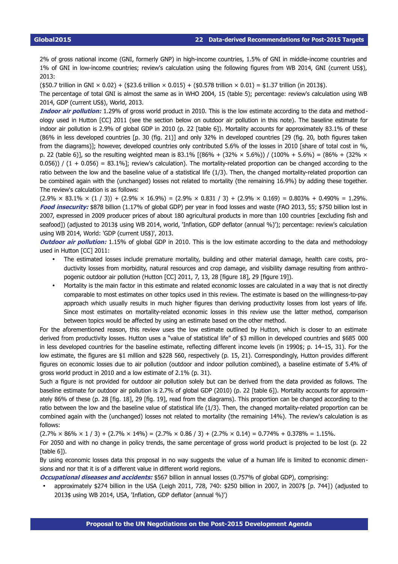2% of gross national income (GNI, formerly GNP) in high-income countries, 1.5% of GNI in middle-income countries and 1% of GNI in low-income countries; review's calculation using the following figures from WB 2014, GNI (current US\$), 2013:

 $($50.7$$  trillion in GNI  $\times$  0.02) +  $($23.6$$  trillion  $\times$  0.015) +  $($0.578$$  trillion  $\times$  0.01) = \$1.37 trillion (in 2013\$).

The percentage of total GNI is almost the same as in WHO 2004, 15 (table 5); percentage: review's calculation using WB 2014, GDP (current US\$), World, 2013.

**Indoor air pollution:** 1.29% of gross world product in 2010. This is the low estimate according to the data and methodology used in Hutton [CC] 2011 (see the section below on outdoor air pollution in this note). The baseline estimate for indoor air pollution is 2.9% of global GDP in 2010 (p. 22 [table 6]). Mortality accounts for approximately 83.1% of these (86% in less developed countries [p. 30 (fig. 21)] and only 32% in developed countries [29 (fig. 20, both figures taken from the diagrams)]; however, developed countries only contributed 5.6% of the losses in 2010 [share of total cost in %, p. 22 (table 6)], so the resulting weighted mean is 83.1%  $[(86\% + (32\% \times 5.6\%)) / (100\% + 5.6\%)] = (86\% + (32\% \times 5.6\%))$  $(0.056)$  /  $(1 + 0.056) = 83.1\%$ ; review's calculation). The mortality-related proportion can be changed according to the ratio between the low and the baseline value of a statistical life (1/3). Then, the changed mortality-related proportion can be combined again with the (unchanged) losses not related to mortality (the remaining 16.9%) by adding these together. The review's calculation is as follows:

 $(2.9\% \times 83.1\% \times (1/3)) + (2.9\% \times 16.9\%) = (2.9\% \times 0.831/3) + (2.9\% \times 0.169) = 0.803\% + 0.490\% = 1.29\%.$ Food insecurity: \$878 billion (1.17% of global GDP) per year in food losses and waste (FAO 2013, 55; \$750 billion lost in 2007, expressed in 2009 producer prices of about 180 agricultural products in more than 100 countries [excluding fish and seafood]) (adjusted to 2013\$ using WB 2014, world, 'Inflation, GDP deflator (annual %)'); percentage: review's calculation using WB 2014, World: 'GDP (current US\$)', 2013.

**Outdoor air pollution:** 1.15% of global GDP in 2010. This is the low estimate according to the data and methodology used in Hutton [CC] 2011:

- The estimated losses include premature mortality, building and other material damage, health care costs, productivity losses from morbidity, natural resources and crop damage, and visibility damage resulting from anthropogenic outdoor air pollution (Hutton [CC] 2011, 7, 13, 28 [figure 18], 29 [figure 19]).
- Mortality is the main factor in this estimate and related economic losses are calculated in a way that is not directly comparable to most estimates on other topics used in this review. The estimate is based on the willingness-to-pay approach which usually results in much higher figures than deriving productivity losses from lost years of life. Since most estimates on mortality-related economic losses in this review use the latter method, comparison between topics would be affected by using an estimate based on the other method.

For the aforementioned reason, this review uses the low estimate outlined by Hutton, which is closer to an estimate derived from productivity losses. Hutton uses a "value of statistical life" of \$3 million in developed countries and \$685 000 in less developed countries for the baseline estimate, reflecting different income levels (in 1990\$; p. 14–15, 31). For the low estimate, the figures are \$1 million and \$228 560, respectively (p. 15, 21). Correspondingly, Hutton provides different figures on economic losses due to air pollution (outdoor and indoor pollution combined), a baseline estimate of 5.4% of gross world product in 2010 and a low estimate of 2.1% (p. 31).

Such a figure is not provided for outdoor air pollution solely but can be derived from the data provided as follows. The baseline estimate for outdoor air pollution is 2.7% of global GDP (2010) (p. 22 [table 6]). Mortality accounts for approximately 86% of these (p. 28 [fig. 18], 29 [fig. 19], read from the diagrams). This proportion can be changed according to the ratio between the low and the baseline value of statistical life (1/3). Then, the changed mortality-related proportion can be combined again with the (unchanged) losses not related to mortality (the remaining 14%). The review's calculation is as follows:

 $(2.7\% \times 86\% \times 1/3) + (2.7\% \times 14\%) = (2.7\% \times 0.86/3) + (2.7\% \times 0.14) = 0.774\% + 0.378\% = 1.15\%$ .

For 2050 and with no change in policy trends, the same percentage of gross world product is projected to be lost (p. 22 [table 6]).

By using economic losses data this proposal in no way suggests the value of a human life is limited to economic dimensions and nor that it is of a different value in different world regions.

**Occupational diseases and accidents:** \$567 billion in annual losses (0.757% of global GDP), comprising:

• approximately \$274 billion in the USA (Leigh 2011, 728, 740: \$250 billion in 2007, in 2007\$ [p. 744]) (adjusted to 2013\$ using WB 2014, USA, 'Inflation, GDP deflator (annual %)')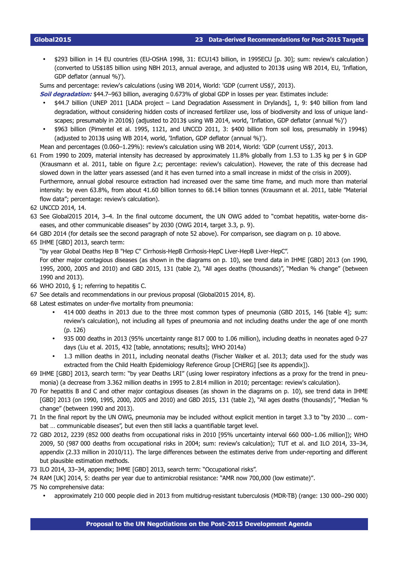• \$293 billion in 14 EU countries (EU-OSHA 1998, 31: ECU143 billion, in 1995ECU [p. 30]; sum: review's calculation ) (converted to US\$185 billion using NBH 2013, annual average, and adjusted to 2013\$ using WB 2014, EU, 'Inflation, GDP deflator (annual %)').

Sums and percentage: review's calculations (using WB 2014, World: 'GDP (current US\$)', 2013).

**Soil degradation:** \$44.7–963 billion, averaging 0.673% of global GDP in losses per year. Estimates include:

- \$44.7 billion (UNEP 2011 [LADA project Land Degradation Assessment in Drylands], 1, 9: \$40 billion from land degradation, without considering hidden costs of increased fertilizer use, loss of biodiversity and loss of unique landscapes; presumably in 2010\$) (adjusted to 2013\$ using WB 2014, world, 'Inflation, GDP deflator (annual %)')
- \$963 billion (Pimentel et al. 1995, 1121, and UNCCD 2011, 3: \$400 billion from soil loss, presumably in 1994\$) (adjusted to 2013\$ using WB 2014, world, 'Inflation, GDP deflator (annual %)').

<span id="page-22-0"></span>Mean and percentages (0.060–1.29%): review's calculation using WB 2014, World: 'GDP (current US\$)', 2013.

- 61 From 1990 to 2009, material intensity has decreased by approximately 11.8% globally from 1.53 to 1.35 kg per \$ in GDP (Krausmann et al. 2011, table on figure 2.c; percentage: review's calculation). However, the rate of this decrease had slowed down in the latter years assessed (and it has even turned into a small increase in midst of the crisis in 2009). Furthermore, annual global resource extraction had increased over the same time frame, and much more than material intensity: by even 63.8%, from about 41.60 billion tonnes to 68.14 billion tonnes (Krausmann et al. 2011, table "Material flow data"; percentage: review's calculation).
- <span id="page-22-1"></span>62 UNCCD 2014, 14.
- <span id="page-22-2"></span>63 See Global2015 2014, 3–4. In the final outcome document, the UN OWG added to "combat hepatitis, water-borne diseases, and other communicable diseases" by 2030 (OWG 2014, target 3.3, p. 9).
- <span id="page-22-3"></span>64 GBD 2014 (for details see the second paragraph of note [52](#page-17-26) above). For comparison, see diagram on p. [10](#page-9-0) above.
- <span id="page-22-4"></span>65 IHME [GBD] 2013, search term:

"by year Global Deaths Hep B "Hep C" Cirrhosis-HepB Cirrhosis-HepC Liver-HepB Liver-HepC".

For other major contagious diseases (as shown in the diagrams on p. [10\)](#page-9-0), see trend data in IHME [GBD] 2013 (on 1990, 1995, 2000, 2005 and 2010) and GBD 2015, 131 (table 2), "All ages deaths (thousands)", "Median % change" (between 1990 and 2013).

- <span id="page-22-5"></span>66 WHO 2010, § 1; referring to hepatitis C.
- <span id="page-22-6"></span>67 See details and recommendations in our previous proposal (Global2015 2014, 8).
- <span id="page-22-7"></span>68 Latest estimates on under-five mortality from pneumonia:
	- 414 000 deaths in 2013 due to the three most common types of pneumonia (GBD 2015, 146 [table 4]; sum: review's calculation), not including all types of pneumonia and not including deaths under the age of one month (p. 126)
	- 935 000 deaths in 2013 (95% uncertainty range 817 000 to 1.06 million), including deaths in neonates aged 0-27 days (Liu et al. 2015, 432 [table, annotations; results]; WHO 2014a)
	- 1.3 million deaths in 2011, including neonatal deaths (Fischer Walker et al. 2013; data used for the study was extracted from the Child Health Epidemiology Reference Group [CHERG] [see its appendix]).
- <span id="page-22-8"></span>69 IHME [GBD] 2013, search term: "by year Deaths LRI" (using lower respiratory infections as a proxy for the trend in pneumonia) (a decrease from 3.362 million deaths in 1995 to 2.814 million in 2010; percentage: review's calculation).
- <span id="page-22-9"></span>70 For hepatitis B and C and other major contagious diseases (as shown in the diagrams on p. [10\)](#page-9-0), see trend data in IHME [GBD] 2013 (on 1990, 1995, 2000, 2005 and 2010) and GBD 2015, 131 (table 2), "All ages deaths (thousands)", "Median % change" (between 1990 and 2013).
- <span id="page-22-10"></span>71 In the final report by the UN OWG, pneumonia may be included without explicit mention in target 3.3 to "by 2030 … combat … communicable diseases", but even then still lacks a quantifiable target level.
- <span id="page-22-11"></span>72 GBD 2012, 2239 (852 000 deaths from occupational risks in 2010 [95% uncertainty interval 660 000–1.06 million]); WHO 2009, 50 (987 000 deaths from occupational risks in 2004; sum: review's calculation); TUT et al. and ILO 2014, 33–34, appendix (2.33 million in 2010/11). The large differences between the estimates derive from under-reporting and different but plausible estimation methods.
- <span id="page-22-12"></span>73 ILO 2014, 33–34, appendix; IHME [GBD] 2013, search term: "Occupational risks".
- <span id="page-22-13"></span>74 RAM [UK] 2014, 5: deaths per year due to antimicrobial resistance: "AMR now 700,000 (low estimate)".
- <span id="page-22-14"></span>75 No comprehensive data:
	- approximately 210 000 people died in 2013 from multidrug-resistant tuberculosis (MDR-TB) (range: 130 000 290 ‒ 000)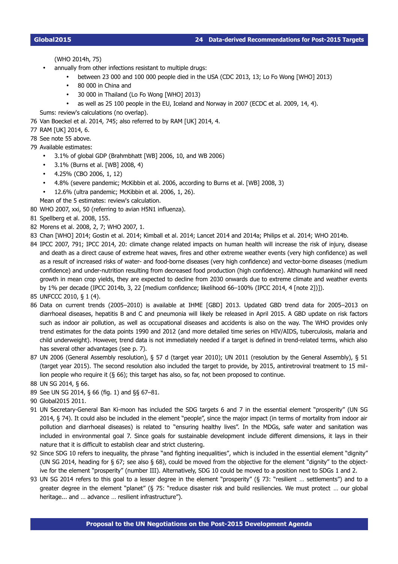- annually from other infections resistant to multiple drugs:
	- between 23 000 and 100 000 people died in the USA (CDC 2013, 13; Lo Fo Wong [WHO] 2013)
	- 80 000 in China and
	- 30 000 in Thailand (Lo Fo Wong [WHO] 2013)
	- as well as 25 100 people in the EU, Iceland and Norway in 2007 (ECDC et al. 2009, 14, 4).
- <span id="page-23-0"></span>Sums: review's calculations (no overlap).
- 76 Van Boeckel et al. 2014, 745; also referred to by RAM [UK] 2014, 4.
- <span id="page-23-1"></span>77 RAM [UK] 2014, 6.
- <span id="page-23-2"></span>78 See note [55](#page-18-0) above.
- <span id="page-23-3"></span>79 Available estimates:
	- 3.1% of global GDP (Brahmbhatt [WB] 2006, 10, and WB 2006)
	- 3.1% (Burns et al. [WB] 2008, 4)
	- 4.25% (CBO 2006, 1, 12)
	- 4.8% (severe pandemic; McKibbin et al. 2006, according to Burns et al. [WB] 2008, 3)
	- 12.6% (ultra pandemic; McKibbin et al. 2006, 1, 26).
	- Mean of the 5 estimates: review's calculation.
- <span id="page-23-4"></span>80 WHO 2007, xxi, 50 (referring to avian H5N1 influenza).
- <span id="page-23-5"></span>81 Spellberg et al. 2008, 155.
- <span id="page-23-6"></span>82 Morens et al. 2008, 2, 7; WHO 2007, 1.
- <span id="page-23-7"></span>83 Chan [WHO] 2014; Gostin et al. 2014; Kimball et al. 2014; Lancet 2014 and 2014a; Philips et al. 2014; WHO 2014b.
- <span id="page-23-8"></span>84 IPCC 2007, 791; IPCC 2014, 20: climate change related impacts on human health will increase the risk of injury, disease and death as a direct cause of extreme heat waves, fires and other extreme weather events (very high confidence) as well as a result of increased risks of water- and food-borne diseases (very high confidence) and vector-borne diseases (medium confidence) and under-nutrition resulting from decreased food production (high confidence). Although humankind will need growth in mean crop yields, they are expected to decline from 2030 onwards due to extreme climate and weather events by 1% per decade (IPCC 2014b, 3, 22 [medium confidence; likelihood 66–100% (IPCC 2014, 4 [note 2])]).
- <span id="page-23-9"></span>85 UNFCCC 2010, § 1 (4).
- <span id="page-23-10"></span>86 Data on current trends (2005–2010) is available at IHME [GBD] 2013. Updated GBD trend data for 2005–2013 on diarrhoeal diseases, hepatitis B and C and pneumonia will likely be released in April 2015. A GBD update on risk factors such as indoor air pollution, as well as occupational diseases and accidents is also on the way. The WHO provides only trend estimates for the data points 1990 and 2012 (and more detailed time series on HIV/AIDS, tuberculosis, malaria and child underweight). However, trend data is not immediately needed if a target is defined in trend-related terms, which also has several other advantages (see p. [7\)](#page-6-0).
- <span id="page-23-11"></span>87 UN 2006 (General Assembly resolution), § 57 d (target year 2010); UN 2011 (resolution by the General Assembly), § 51 (target year 2015). The second resolution also included the target to provide, by 2015, antiretroviral treatment to 15 million people who require it  $(§ 66)$ ; this target has also, so far, not been proposed to continue.
- <span id="page-23-12"></span>88 UN SG 2014, § 66.
- <span id="page-23-13"></span>89 See UN SG 2014, § 66 (fig. 1) and §§ 67–81.
- <span id="page-23-14"></span>90 Global2015 2011.
- <span id="page-23-15"></span>91 UN Secretary-General Ban Ki-moon has included the SDG targets 6 and 7 in the essential element "prosperity" (UN SG 2014, § 74). It could also be included in the element "people", since the major impact (in terms of mortality from indoor air pollution and diarrhoeal diseases) is related to "ensuring healthy lives". In the MDGs, safe water and sanitation was included in environmental goal 7. Since goals for sustainable development include different dimensions, it lays in their nature that it is difficult to establish clear and strict clustering.
- <span id="page-23-16"></span>92 Since SDG 10 refers to inequality, the phrase "and fighting inequalities", which is included in the essential element "dignity" (UN SG 2014, heading for § 67; see also § 68), could be moved from the objective for the element "dignity" to the objective for the element "prosperity" (number III). Alternatively, SDG 10 could be moved to a position next to SDGs 1 and 2.
- <span id="page-23-17"></span>93 UN SG 2014 refers to this goal to a lesser degree in the element "prosperity" (§ 73: "resilient … settlements") and to a greater degree in the element "planet" (§ 75: "reduce disaster risk and build resiliencies. We must protect … our global heritage... and ... advance ... resilient infrastructure").

<sup>(</sup>WHO 2014h, 75)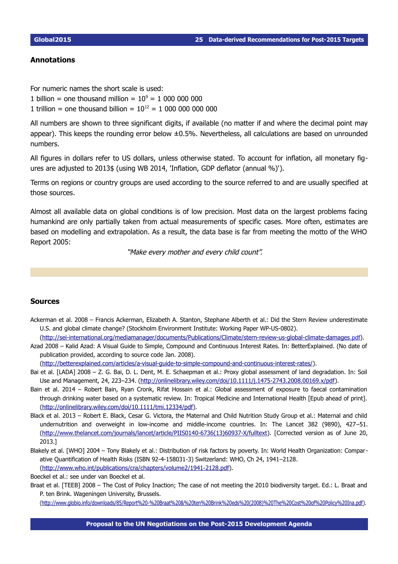### <span id="page-24-1"></span>**Annotations**

For numeric names the short scale is used:

1 billion = one thousand million =  $10^9$  = 1 000 000 000

1 trillion = one thousand billion =  $10^{12} = 10000000000000$ 

All numbers are shown to three significant digits, if available (no matter if and where the decimal point may appear). This keeps the rounding error below  $\pm 0.5\%$ . Nevertheless, all calculations are based on unrounded numbers.

All figures in dollars refer to US dollars, unless otherwise stated. To account for inflation, all monetary figures are adjusted to 2013\$ (using WB 2014, 'Inflation, GDP deflator (annual %)').

Terms on regions or country groups are used according to the source referred to and are usually specified at those sources.

Almost all available data on global conditions is of low precision. Most data on the largest problems facing humankind are only partially taken from actual measurements of specific cases. More often, estimates are based on modelling and extrapolation. As a result, the data base is far from meeting the motto of the WHO Report 2005:

"Make every mother and every child count".

#### <span id="page-24-0"></span>**Sources**

Ackerman et al. 2008 – Francis Ackerman, Elizabeth A. Stanton, Stephane Alberth et al.: Did the Stern Review underestimate U.S. and global climate change? (Stockholm Environment Institute: Working Paper WP-US-0802).

[\( http://sei-international.org/mediamanager/documents/Publications/Climate/stern-review-us-global-climate-damages](http://sei-international.org/mediamanager/documents/Publications/Climate/stern-review-us-global-climate-damages.pdf) .pdf).

Azad 2008 – Kalid Azad: A Visual Guide to Simple, Compound and Continuous Interest Rates. In: BetterExplained. (No date of publication provided, according to source code Jan. 2008).

[\(http://betterexplained.com/articles/a-visual-guide-to-simple-compound-and-continuous-interest-rates/\)](http://betterexplained.com/articles/a-visual-guide-to-simple-compound-and-continuous-interest-rates/).

- Bai et al. [LADA] 2008 Z. G. Bai, D. L. Dent, M. E. Schaepman et al.: Proxy global assessment of land degradation. In: Soil Use and Management, 24, 223–234. [\(http://onlinelibrary.wiley.com/doi/10.1111/j.1475-2743.2008.00169.x/pdf\)](http://onlinelibrary.wiley.com/doi/10.1111/j.1475-2743.2008.00169.x/pdf).
- Bain et al. 2014 Robert Bain, Ryan Cronk, Rifat Hossain et al.: Global assessment of exposure to faecal contamination through drinking water based on a systematic review. In: Tropical Medicine and International Health [Epub ahead of print]. [\(http://onlinelibrary.wiley.com/doi/10.1111/tmi.12334/pdf\)](http://onlinelibrary.wiley.com/doi/10.1111/tmi.12334/pdf).
- Black et al. 2013 Robert E. Black, Cesar G. Victora, the Maternal and Child Nutrition Study Group et al.: Maternal and child undernutrition and overweight in low-income and middle-income countries. In: The Lancet 382 (9890), 427–51. [\(http://www.thelancet.com/journals/lancet/article/PIIS0140-6736\(13\)60937-X/fulltext\)](http://www.thelancet.com/journals/lancet/article/PIIS0140-6736(13)60937-X/fulltext). [Corrected version as of June 20, 2013.]
- Blakely et al. [WHO] 2004 Tony Blakely et al.: Distribution of risk factors by poverty. In: World Health Organization: Comparative Quantification of Health Risks (ISBN 92-4-158031-3) Switzerland: WHO, Ch 24, 1941–2128. [\(http://www.who.int/publications/cra/chapters/volume2/1941-2128.pdf\)](http://www.who.int/publications/cra/chapters/volume2/1941-2128.pdf).

Boeckel et al.: see under van Boeckel et al.

Braat et al. [TEEB] 2008 – The Cost of Policy Inaction; The case of not meeting the 2010 biodiversity target. Ed.: L. Braat and P. ten Brink. Wageningen University, Brussels.

[\(http://www.globio.info/downloads/85/Report%20-%20Braat%20&%20ten%20Brink%20eds%20\(2008\)%20The%20Cost%20of%20Policy%20Ina.pdf\)](http://www.globio.info/downloads/85/Report%20-%20Braat%20&%20ten%20Brink%20eds%20(2008)%20The%20Cost%20of%20Policy%20Ina.pdf).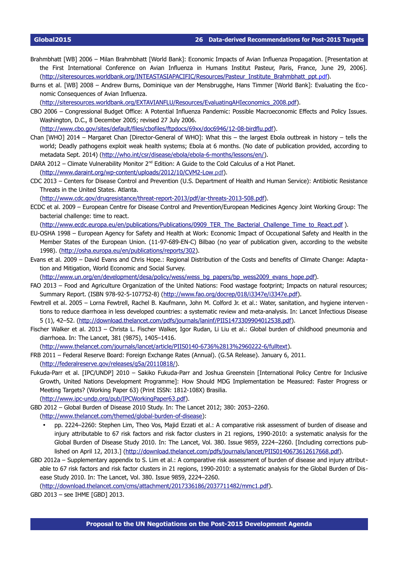- Brahmbhatt [WB] 2006 Milan Brahmbhatt [World Bank]: Economic Impacts of Avian Influenza Propagation. [Presentation at the First International Conference on Avian Influenza in Humans Institut Pasteur, Paris, France, June 29, 2006]. [\( http://siteresources.worldbank.org/INTEASTASIAPACIFIC/Resources/Pasteur\\_Institute\\_Brahmbhatt\\_ppt](http://siteresources.worldbank.org/INTEASTASIAPACIFIC/Resources/Pasteur_Institute_Brahmbhatt_ppt.pdf) .pdf).
- Burns et al. [WB] 2008 Andrew Burns, Dominique van der Mensbrugghe, Hans Timmer [World Bank]: Evaluating the Economic Consequences of Avian Influenza.

[\(http://siteresources.worldbank.org/EXTAVIANFLU/Resources/EvaluatingAHIeconomics\\_2008.pdf\)](http://siteresources.worldbank.org/EXTAVIANFLU/Resources/EvaluatingAHIeconomics_2008.pdf).

CBO 2006 – Congressional Budget Office: A Potential Influenza Pandemic: Possible Macroeconomic Effects and Policy Issues. Washington, D.C., 8 December 2005; revised 27 July 2006.

[\(http://www.cbo.gov/sites/default/files/cbofiles/ftpdocs/69xx/doc6946/12-08-birdflu.pdf\)](http://www.cbo.gov/sites/default/files/cbofiles/ftpdocs/69xx/doc6946/12-08-birdflu.pdf).

- Chan [WHO] 2014 Margaret Chan [Director-General of WHO]: What this the largest Ebola outbreak in history tells the world; Deadly pathogens exploit weak health systems; Ebola at 6 months. (No date of publication provided, according to metadata Sept. 2014) [\(http://who.int/csr/disease/ebola/ebola-6-months/lessons/en/\)](http://who.int/csr/disease/ebola/ebola-6-months/lessons/en/).
- DARA 2012 Climate Vulnerability Monitor  $2^{nd}$  Edition: A Guide to the Cold Calculus of a Hot Planet.

[\( http://www.daraint.org/wp-content/uploads/2012/10/CVM2-Low](http://www.daraint.org/wp-content/uploads/2012/10/CVM2-Low.pdf). pdf).

CDC 2013 – Centers for Disease Control and Prevention (U.S. Department of Health and Human Service): Antibiotic Resistance Threats in the United States. Atlanta.

[\( http://www.cdc.gov/drugresistance/threat-report-2013/pdf/ar-threats-2013-508 .pdf\)](http://www.cdc.gov/drugresistance/threat-report-2013/pdf/ar-threats-2013-508.pdf).

ECDC et al. 2009 – European Centre for Disease Control and Prevention/European Medicines Agency Joint Working Group: The bacterial challenge: time to react.

(http://www.ecdc.europa.eu/en/publications/Publications/0909\_TER\_The\_Bacterial\_Challenge\_Time\_to\_React.pdf ).

- EU-OSHA 1998 European Agency for Safety and Health at Work: Economic Impact of Occupational Safety and Health in the Member States of the European Union. (11-97-689-EN-C) Bilbao (no year of publication given, according to the website 1998). [\(http://osha.europa.eu/en/publications/reports/302\)](http://osha.europa.eu/en/publications/reports/302).
- Evans et al. 2009 David Evans and Chris Hope.: Regional Distribution of the Costs and benefits of Climate Change: Adaptation and Mitigation, World Economic and Social Survey.

(http://www.un.org/en/development/desa/policy/wess/wess\_bg\_papers/bp\_wess2009\_evans\_hope.pdf).

- FAO 2013 Food and Agriculture Organization of the United Nations: Food wastage footprint; Impacts on natural resources; Summary Report. (ISBN 978-92-5-107752-8) [\(http://www.fao.org/docrep/018/i3347e/i3347e.pdf\)](http://www.fao.org/docrep/018/i3347e/i3347e.pdf).
- Fewtrell et al. 2005 Lorna Fewtrell, Rachel B. Kaufmann, John M. Colford Jr. et al.: Water, sanitation, and hygiene interven tions to reduce diarrhoea in less developed countries: a systematic review and meta-analysis. In: Lancet Infectious Disease 5 (1), 42–52. [\(http://download.thelancet.com/pdfs/journals/laninf/PIIS1473309904012538.pdf\)](http://download.thelancet.com/pdfs/journals/laninf/PIIS1473309904012538.pdf).
- Fischer Walker et al. 2013 Christa L. Fischer Walker, Igor Rudan, Li Liu et al.: Global burden of childhood pneumonia and diarrhoea. In: The Lancet, 381 (9875), 1405–1416.

[\(http://www.thelancet.com/journals/lancet/article/PIIS0140-6736%2813%2960222-6/fulltext\)](http://www.thelancet.com/journals/lancet/article/PIIS0140-6736(13)60222-6/fulltext).

- FRB 2011 Federal Reserve Board: Foreign Exchange Rates (Annual). (G.5A Release). January 6, 2011. [\(http://federalreserve.gov/releases/g5a/20110818/\)](http://federalreserve.gov/releases/g5a/20110818/).
- Fukuda-Parr et al. [IPC/UNDP] 2010 Sakiko Fukuda-Parr and Joshua Greenstein [International Policy Centre for Inclusive Growth, United Nations Development Programme]: How Should MDG Implementation be Measured: Faster Progress or Meeting Targets? (Working Paper 63) (Print ISSN: 1812-108X) Brasilia.

[\(http://www.ipc-undp.org/pub/IPCWorkingPaper63.pdf\)](http://www.ipc-undp.org/pub/IPCWorkingPaper63.pdf).

GBD 2012 – Global Burden of Disease 2010 Study. In: The Lancet 2012; 380: 2053–2260. [\(http://www.thelancet.com/themed/global-burden-of-disease\)](http://www.thelancet.com/themed/global-burden-of-disease):

- pp. 2224–2260: Stephen Lim, Theo Vos, Majid Ezzati et al.: A comparative risk assessment of burden of disease and injury attributable to 67 risk factors and risk factor clusters in 21 regions, 1990-2010: a systematic analysis for the Global Burden of Disease Study 2010. In: The Lancet, Vol. 380. Issue 9859, 2224–2260. [Including corrections published on April 12, 2013.] [\( http://download.thelancet.com/pdfs/journals/lancet/PIIS0140673612617668 .pdf\)](http://download.thelancet.com/pdfs/journals/lancet/PIIS0140673612617668.pdf).
- GBD 2012a Supplementary appendix to S. Lim et al.: A comparative risk assessment of burden of disease and injury attributable to 67 risk factors and risk factor clusters in 21 regions, 1990-2010: a systematic analysis for the Global Burden of Disease Study 2010. In: The Lancet, Vol. 380. Issue 9859, 2224–2260.

[\(http://download.thelancet.com/cms/attachment/2017336186/2037711482/mmc1.pdf\)](http://download.thelancet.com/cms/attachment/2017336186/2037711482/mmc1.pdf).

GBD 2013 – see IHME [GBD] 2013.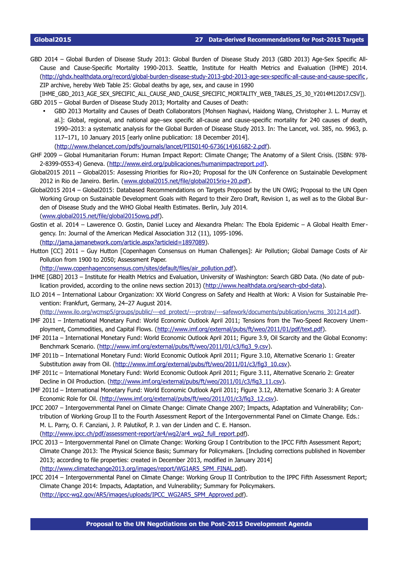GBD 2014 – Global Burden of Disease Study 2013: Global Burden of Disease Study 2013 (GBD 2013) Age-Sex Specific All-Cause and Cause-Specific Mortality 1990-2013. Seattle, Institute for Health Metrics and Evaluation (IHME) 2014. [\(http://ghdx.healthdata.org/record/global-burden-disease-study-2013-gbd-2013-age-sex-specific-all-cause-and-cause-specific](http://ghdx.healthdata.org/record/global-burden-disease-study-2013-gbd-2013-age-sex-specific-all-cause-and-cause-specific) , ZIP archive, hereby Web Table 25: Global deaths by age, sex, and cause in 1990

[IHME\_GBD\_2013\_AGE\_SEX\_SPECIFIC\_ALL\_CAUSE\_AND\_CAUSE\_SPECIFIC\_MORTALITY\_WEB\_TABLES\_25\_30\_Y2014M12D17.CSV1). GBD 2015 – Global Burden of Disease Study 2013; Mortality and Causes of Death:

• GBD 2013 Mortality and Causes of Death Collaborators [Mohsen Naghavi, Haidong Wang, Christopher J. L. Murray et al.]: Global, regional, and national age–sex specific all-cause and cause-specific mortality for 240 causes of death, 1990–2013: a systematic analysis for the Global Burden of Disease Study 2013. In: The Lancet, vol. 385, no. 9963, p. 117–171, 10 January 2015 [early online publication: 18 December 2014].

[\(http://www.thelancet.com/pdfs/journals/lancet/PIIS0140-6736\(14\)61682-2.pdf\)](http://www.thelancet.com/pdfs/journals/lancet/PIIS0140-6736(14)61682-2.pdf).

- GHF 2009 Global Humanitarian Forum: Human Impact Report: Climate Change; The Anatomy of a Silent Crisis. (ISBN: 978- 2-8399-0553-4) Geneva. (http://www.eird.org/publicaciones/humanimpactreport[.pdf](http://www.eird.org/publicaciones/humanimpactreport.pdf)).
- Global2015 2011 Global2015: Assessing Priorities for Rio+20; Proposal for the UN Conference on Sustainable Development 2012 in Rio de Janeiro. Berlin. [\(www.global2015.net/file/global2015rio+20.pdf\)](http://www.global2015.net/file/global2015rio+20.pdf).
- Global2015 2014 Global2015: Databased Recommendations on Targets Proposed by the UN OWG; Proposal to the UN Open Working Group on Sustainable Development Goals with Regard to their Zero Draft, Revision 1, as well as to the Global Burden of Disease Study and the WHO Global Health Estimates. Berlin, July 2014. [\(www.global2015.net/file/global2015owg.pdf\)](http://www.global2015.net/file/global2015owg.pdf).
- Gostin et al. 2014 Lawerence O. Gostin, Daniel Lucey and Alexandra Phelan: The Ebola Epidemic A Global Health Emergency. In: Journal of the American Medical Association 312 (11), 1095-1096. [\(http://jama.jamanetwork.com/article.aspx?articleid=1897089\)](http://jama.jamanetwork.com/article.aspx?articleid=1897089).
- Hutton [CC] 2011 Guy Hutton [Copenhagen Consensus on Human Challenges]: Air Pollution; Global Damage Costs of Air Pollution from 1900 to 2050; Assessment Paper.

[\(http://www.copenhagenconsensus.com/sites/default/files/air\\_pollution.pdf\)](http://www.copenhagenconsensus.com/sites/default/files/air_pollution.pdf).

- IHME [GBD] 2013 Institute for Health Metrics and Evaluation, University of Washington: Search GBD Data. (No date of pub-lication provided, according to the online news section 2013) [\(http://www.healthdata.org/search-gbd-data\)](http://www.healthdata.org/search-gbd-data).
- ILO 2014 International Labour Organization: XX World Congress on Safety and Health at Work: A Vision for Sustainable Prevention: Frankfurt, Germany, 24–27 August 2014.

[\(http://www.ilo.org/wcmsp5/groups/public/---ed\\_protect/---protrav/---safework/documents/publication/wcms\\_301214.pdf\)](http://www.ilo.org/wcmsp5/groups/public/---ed_protect/---protrav/---safework/documents/publication/wcms_162662.pdfhttp://www.ilo.org/wcmsp5/groups/public/---ed_protect/---protrav/---safework/documents/publication/wcms_301214.pdf).

- IMF 2011 International Monetary Fund: World Economic Outlook April 2011; Tensions from the Two-Speed Recovery Unem-ployment, Commodities, and Capital Flows. [\(http://www.imf.org/external/pubs/ft/weo/2011/01/pdf/text.pdf\)](http://www.imf.org/external/pubs/ft/weo/2011/01/pdf/text.pdf).
- IMF 2011a International Monetary Fund: World Economic Outlook April 2011; Figure 3.9, Oil Scarcity and the Global Economy: Benchmark Scenario. [\(http://www.imf.org/external/pubs/ft/weo/2011/01/c3/fig3\\_9.csv\)](http://www.imf.org/external/pubs/ft/weo/2011/01/c3/fig3_9.csv).
- IMF 2011b International Monetary Fund: World Economic Outlook April 2011; Figure 3.10, Alternative Scenario 1: Greater Substitution away from Oil. [\(http://www.imf.org/external/pubs/ft/weo/2011/01/c3/fig3\\_10.csv\)](http://www.imf.org/external/pubs/ft/weo/2011/01/c3/fig3_10.csv).
- IMF 2011c International Monetary Fund: World Economic Outlook April 2011; Figure 3.11, Alternative Scenario 2: Greater Decline in Oil Production. [\(http://www.imf.org/external/pubs/ft/weo/2011/01/c3/fig3\\_11.csv\)](http://www.imf.org/external/pubs/ft/weo/2011/01/c3/fig3_11.csv).
- IMF 2011d International Monetary Fund: World Economic Outlook April 2011; Figure 3.12, Alternative Scenario 3: A Greater Economic Role for Oil. [\(http://www.imf.org/external/pubs/ft/weo/2011/01/c3/fig3\\_12.csv\)](http://www.imf.org/external/pubs/ft/weo/2011/01/c3/fig3_12.csv).
- IPCC 2007 Intergovernmental Panel on Climate Change: Climate Change 2007; Impacts, Adaptation and Vulnerability; Contribution of Working Group II to the Fourth Assessment Report of the Intergovernmental Panel on Climate Change. Eds.: M. L. Parry, O. F. Canziani, J. P. Palutikof, P. J. van der Linden and C. E. Hanson. (http://www.ipcc.ch/pdf/assessment-report/ar4/wg2/ar4\_wg2\_full\_report[.pdf](http://www.ipcc.ch/pdf/assessment-report/ar4/wg2/ar4_wg2_full_report.pdf)).
- IPCC 2013 Intergovernmental Panel on Climate Change: Working Group I Contribution to the IPCC Fifth Assessment Report; Climate Change 2013: The Physical Science Basis; Summary for Policymakers. [Including corrections published in November 2013; according to file properties: created in December 2013, modified in January 2014]

(http://www.climatechange2013.org/images/report/WG1AR5\_SPM\_FINAL[.pdf](http://www.climatechange2013.org/images/report/WG1AR5_SPM_FINAL.pdf)).

IPCC 2014 – Intergovernmental Panel on Climate Change: Working Group II Contribution to the IPPC Fifth Assessment Report; Climate Change 2014: Impacts, Adaptation, and Vulnerability; Summary for Policymakers. [\( http://ipcc-wg2.gov/AR5/images/uploads/IPCC\\_WG2AR5\\_SPM\\_Approved](http://ipcc-wg2.gov/AR5/images/uploads/IPCC_WG2AR5_SPM_Approved.pdf) [.pdf](http://ipcc-wg2.gov/AR5/images/uploads/IPCC_WG2AR5_SPM_Approved.pdf)).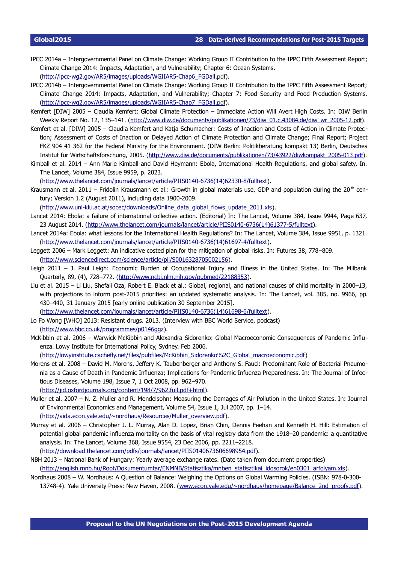- IPCC 2014a Intergovernmental Panel on Climate Change: Working Group II Contribution to the IPPC Fifth Assessment Report; Climate Change 2014: Impacts, Adaptation, and Vulnerability; Chapter 6: Ocean Systems. (http://ipcc-wg2.gov/AR5/images/uploads/WGIIAR5-Chap6\_FGDall[.pdf](http://ipcc-wg2.gov/AR5/images/uploads/WGIIAR5-Chap6_FGDall.pdf)).
- IPCC 2014b Intergovernmental Panel on Climate Change: Working Group II Contribution to the IPPC Fifth Assessment Report; Climate Change 2014: Impacts, Adaptation, and Vulnerability; Chapter 7: Food Security and Food Production Systems. [\( http://ipcc-wg2.gov/AR5/images/uploads/WGIIAR5-Chap7\\_FGDall](http://ipcc-wg2.gov/AR5/images/uploads/WGIIAR5-Chap7_FGDall.pdf) [.pdf](http://ipcc-wg2.gov/AR5/images/uploads/WGIIAR5-Chap7_FGDall.pdf)).
- Kemfert [DIW] 2005 Claudia Kemfert: Global Climate Protection Immediate Action Will Avert High Costs. In: DIW Berlin Weekly Report No. 12, 135–141. (http://www.diw.de/documents/publikationen/73/diw\_01.c.43084.de/diw\_wr\_2005-12[.pdf](http://www.diw.de/documents/publikationen/73/diw_01.c.43084.de/diw_wr_2005-12.pdf)).
- Kemfert et al. [DIW] 2005 Claudia Kemfert and Katja Schumacher: Costs of Inaction and Costs of Action in Climate Protec tion; Assessment of Costs of Inaction or Delayed Action of Climate Protection and Climate Change; Final Report; Project FKZ 904 41 362 for the Federal Ministry for the Environment. (DIW Berlin: Politikberatung kompakt 13) Berlin, Deutsches Institut für Wirtschaftsforschung, 2005. [\( http://www.diw.de/documents/publikationen/73/43922/diwkompakt\\_2005-013](http://www.diw.de/documents/publikationen/73/43922/diwkompakt_2005-013.pdf) [.pdf](http://www.diw.de/documents/publikationen/73/43922/diwkompakt_2005-013.pdf)).
- Kimball et al. 2014 Ann Marie Kimball and David Heymann: Ebola, International Health Regulations, and global safety. In. The Lancet, Volume 384, Issue 9959, p. 2023.

[\(http://www.thelancet.com/journals/lancet/article/PIIS0140-6736\(14\)62330-8/fulltext\)](http://www.thelancet.com/journals/lancet/article/PIIS0140-6736(14)62330-8/fulltext).

Krausmann et al. 2011 – Fridolin Krausmann et al.: Growth in global materials use. GDP and population during the 20<sup>th</sup> century; Version 1.2 (August 2011), including data 1900-2009.

[\(http://www.uni-klu.ac.at/socec/downloads/Online\\_data\\_global\\_flows\\_update\\_2011.xls\)](http://www.uni-klu.ac.at/socec/downloads/Online_data_global_flows_update_2011.xls).

- Lancet 2014: Ebola: a failure of international collective action. (Editorial) In: The Lancet, Volume 384, Issue 9944, Page 637, 23 August 2014. [\(http://www.thelancet.com/journals/lancet/article/PIIS0140-6736\(14\)61377-5/fulltext\)](http://www.thelancet.com/journals/lancet/article/PIIS0140-6736(14)61377-5/fulltext).
- Lancet 2014a: Ebola: what lessons for the International Health Regulations? In: The Lancet, Volume 384, Issue 9951, p. 1321. [\(http://www.thelancet.com/journals/lancet/article/PIIS0140-6736\(14\)61697-4/fulltext\)](http://www.thelancet.com/journals/lancet/article/PIIS0140-6736(14)61697-4/fulltext).
- Leggett 2006 Mark Leggett: An indicative costed plan for the mitigation of global risks. In: Futures 38, 778–809. [\(http://www.sciencedirect.com/science/article/pii/S0016328705002156\)](http://www.sciencedirect.com/science/article/pii/S0016328705002156).
- Leigh 2011 J. Paul Leigh: Economic Burden of Occupational Injury and Illness in the United States. In: The Milbank Quarterly, 89, (4), 728–772. [\(http://www.ncbi.nlm.nih.gov/pubmed/22188353\)](http://www.ncbi.nlm.nih.gov/pubmed/22188353).
- Liu et al. 2015 Li Liu, Shefali Oza, Robert E. Black et al.: Global, regional, and national causes of child mortality in 2000–13, with projections to inform post-2015 priorities: an updated systematic analysis. In: The Lancet, vol. 385, no. 9966, pp. 430–440, 31 January 2015 [early online publication 30 September 2015]. [\(http://www.thelancet.com/journals/lancet/article/PIIS0140-6736\(14\)61698-6/fulltext\)](http://www.thelancet.com/journals/lancet/article/PIIS0140-6736(14)61698-6/fulltext).
- Lo Fo Wong [WHO] 2013: Resistant drugs. 2013. (Interview with BBC World Service, podcast) [\(http://www.bbc.co.uk/programmes/p0146ggz\)](http://www.bbc.co.uk/programmes/p0146ggz).
- McKibbin et al. 2006 Warwick McKibbin and Alexandra Sidorenko: Global Macroeconomic Consequences of Pandemic Influenza. Lowy Institute for International Policy, Sydney. Feb 2006.

[\(http://lowyinstitute.cachefly.net/files/pubfiles/McKibbin\\_Sidorenko%2C\\_Global\\_macroeconomic.pdf\)](http://lowyinstitute.cachefly.net/files/pubfiles/McKibbin_Sidorenko%2C_Global_macroeconomic.pdf)

- Morens et al. 2008 David M. Morens, Jeffery K. Taubenberger and Anthony S. Fauci: Predominant Role of Bacterial Pneumonia as a Cause of Death in Pandemic Influenza; Implications for Pandemic Infuenza Preparedness. In: The Journal of Infec tious Diseases, Volume 198, Issue 7, 1 Oct 2008, pp. 962–970. [\(http://jid.oxfordjournals.org/content/198/7/962.full.pdf+html\)](http://jid.oxfordjournals.org/content/198/7/962.full.pdf+html).
- Muller et al. 2007 N. Z. Muller and R. Mendelsohn: Measuring the Damages of Air Pollution in the United States. In: Journal of Environmental Economics and Management, Volume 54, Issue 1, Jul 2007, pp. 1–14. [\(http://aida.econ.yale.edu/~nordhaus/Resources/Muller\\_overview.pdf\)](http://aida.econ.yale.edu/~nordhaus/Resources/Muller_overview.pdf).
- Murray et al. 2006 Christopher J. L. Murray, Alan D. Lopez, Brian Chin, Dennis Feehan and Kenneth H. Hill: Estimation of potential global pandemic influenza mortality on the basis of vital registry data from the 1918–20 pandemic: a quantitative analysis. In: The Lancet, Volume 368, Issue 9554, 23 Dec 2006, pp. 2211–2218. [\(http://download.thelancet.com/pdfs/journals/lancet/PIIS0140673606698954.pdf\)](http://download.thelancet.com/pdfs/journals/lancet/PIIS0140673606698954.pdf).

NBH 2013 – National Bank of Hungary: Yearly average exchange rates. (Date taken from document properties)

[\(http://english.mnb.hu/Root/Dokumentumtar/ENMNB/Statisztika/mnben\\_statisztikai\\_idosorok/en0301\\_arfolyam.xls\)](http://english.mnb.hu/Root/Dokumentumtar/ENMNB/Statisztika/mnben_statisztikai_idosorok/en0301_arfolyam.xls).

Nordhaus 2008 – W. Nordhaus: A Question of Balance: Weighing the Options on Global Warming Policies. (ISBN: 978-0-300- 13748-4). Yale University Press: New Haven, 2008. [\(www.econ.yale.edu/~nordhaus/homepage/Balance\\_2nd\\_proofs.pdf\)](http://www.econ.yale.edu/~nordhaus/homepage/Balance_2nd_proofs.pdf).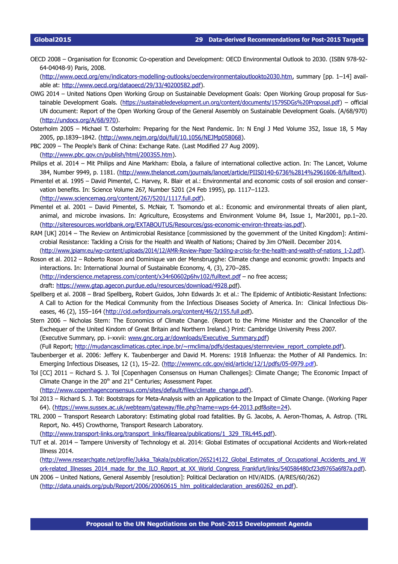OECD 2008 – Organisation for Economic Co-operation and Development: OECD Environmental Outlook to 2030. (ISBN 978-92- 64-04048-9) Paris, 2008.

[\(http://www.oecd.org/env/indicators-modelling-outlooks/oecdenvironmentaloutlookto2030.htm,](http://www.oecd.org/env/indicators-modelling-outlooks/oecdenvironmentaloutlookto2030.htm) summary [pp. 1–14] available at: [http://www.oecd.org/dataoecd/29/33/40200582.pdf\)](http://www.oecd.org/dataoecd/29/33/40200582.pdf).

- OWG 2014 United Nations Open Working Group on Sustainable Development Goals: Open Working Group proposal for Sus-tainable Development Goals. [\(https://sustainabledevelopment.un.org/content/documents/1579SDGs%20Proposal.pdf\)](https://sustainabledevelopment.un.org/content/documents/1579SDGs%20Proposal.pdf) – official UN document: Report of the Open Working Group of the General Assembly on Sustainable Development Goals. (A/68/970) [\(http://undocs.org/A/68/970\)](http://undocs.org/A/68/970).
- Osterholm 2005 Michael T. Osterholm: Preparing for the Next Pandemic. In: N Engl J Med Volume 352, Issue 18, 5 May 2005, pp.1839–1842. [\(http://www.nejm.org/doi/full/10.1056/NEJMp058068\)](http://www.nejm.org/doi/full/10.1056/NEJMp058068).
- PBC 2009 The People's Bank of China: Exchange Rate. (Last Modified 27 Aug 2009). [\(http://www.pbc.gov.cn/publish/html/2003S5.htm\)](http://www.pbc.gov.cn/publish/html/2003S5.htm).
- Philips et al. 2014 Mit Philips and Aine Markham: Ebola, a failure of international collective action. In: The Lancet, Volume 384, Number 9949, p. 1181. [\(http://www.thelancet.com/journals/lancet/article/PIIS0140-6736%2814%2961606-8/fulltext\)](http://www.thelancet.com/journals/lancet/article/PIIS0140-6736(14)61606-8/fulltext).
- Pimentel et al. 1995 David Pimentel, C. Harvey, R. Blair et al.: Environmental and economic costs of soil erosion and conservation benefits. In: Science Volume 267, Number 5201 (24 Feb 1995), pp. 1117–1123. [\(http://www.sciencemag.org/content/267/5201/1117.full.pdf\)](http://www.sciencemag.org/content/267/5201/1117.full.pdf).
- Pimentel et al. 2001 David Pimentel, S. McNair, T. Tsomondo et al.: Economic and environmental threats of alien plant, animal, and microbe invasions. In: Agriculture, Ecosystems and Environment Volume 84, Issue 1, Mar2001, pp.1–20. [\(http://siteresources.worldbank.org/EXTABOUTUS/Resources/gss-economic-environ-threats-ias.pdf\)](http://siteresources.worldbank.org/EXTABOUTUS/Resources/gss-economic-environ-threats-ias.pdf).
- RAM [UK] 2014 The Review on Antimicrobial Resistance [commissioned by the government of the United Kingdom]: Antimicrobial Resistance: Tackling a Crisis for the Health and Wealth of Nations; Chaired by Jim O'Neill. December 2014. [\(http://www.jpiamr.eu/wp-content/uploads/2014/12/AMR-Review-Paper-Tackling-a-crisis-for-the-health-and-wealth-of-nations\\_1-2.pdf\)](http://www.jpiamr.eu/wp-content/uploads/2014/12/AMR-Review-Paper-Tackling-a-crisis-for-the-health-and-wealth-of-nations_1-2.pdf).
- Roson et al. 2012 Roberto Roson and Dominique van der Mensbrugghe: Climate change and economic growth: Impacts and interactions. In: International Journal of Sustainable Economy, 4, (3), 270–285. (http://inderscience.metapress.com/content/x34r60602p6hv102/fulltext.pdf - no free access; draft: [https://www.gtap.agecon.purdue.edu/resources/download/4928](https://www.gtap.agecon.purdue.edu/resources/download/4928.pdf) [.pdf](https://www.gtap.agecon.purdue.edu/resources/download/4928.pdf)).
- Spellberg et al. 2008 Brad Spellberg, Robert Guidos, John Edwards Jr. et al.: The Epidemic of Antibiotic-Resistant Infections: A Call to Action for the Medical Community from the Infectious Diseases Society of America. In: Clinical Infectious Dis-eases, 46 (2), 155-164 (http://cid.oxfordjournals.org/content/46/2/155.full[.pdf](http://cid.oxfordjournals.org/content/46/2/155.full.pdf)).
- Stern 2006 Nicholas Stern: The Economics of Climate Change. (Report to the Prime Minister and the Chancellor of the Exchequer of the United Kindom of Great Britain and Northern Ireland.) Print: Cambridge University Press 2007. (Executive Summary, pp. i–xxvii: [www.gnc.org.ar/downloads/Executive\\_Summary.pdf\)](http://www.gnc.org.ar/downloads/Executive_Summary.pdf)

(Full Report; [http://mudancasclimaticas.cptec.inpe.br/~rmclima/pdfs/destaques/sternreview\\_report\\_complete.pdf\)](http://mudancasclimaticas.cptec.inpe.br/~rmclima/pdfs/destaques/sternreview_report_complete.pdf).

- Taubenberger et al. 2006: Jeffery K. Taubenberger and David M. Morens: 1918 Influenza: the Mother of All Pandemics. In: Emerging Infectious Diseases, 12 (1), 15–22. (http://wwwnc.cdc.gov/eid/article/12/1/pdfs/05-0979.pdf).
- Tol [CC] 2011 Richard S. J. Tol [Copenhagen Consensus on Human Challenges]: Climate Change; The Economic Impact of Climate Change in the  $20<sup>th</sup>$  and  $21<sup>st</sup>$  Centuries; Assessment Paper.

[\(http://www.copenhagenconsensus.com/sites/default/files/climate\\_change.pdf\)](http://www.copenhagenconsensus.com/sites/default/files/climate_change.pdf).

- Tol 2013 Richard S. J. Tol: Bootstraps for Meta-Analysis with an Application to the Impact of Climate Change. (Working Paper 64). (https://www.sussex.ac.uk/webteam/gateway/file.php?name=wps-64-2013[.pdf](https://www.sussex.ac.uk/webteam/gateway/file.php?name=wps-64-2013.pdf&site=24)&site=24).
- TRL 2000 Transport Research Laboratory: Estimating global road fatalities. By G. Jacobs, A. Aeron-Thomas, A. Astrop. (TRL Report, No. 445) Crowthorne, Transport Research Laboratory.

[\(http://www.transport-links.org/transport\\_links/filearea/publications/1\\_329\\_TRL445.pdf\)](http://www.transport-links.org/transport_links/filearea/publications/1_329_TRL445.pdf).

TUT et al. 2014 – Tampere University of Technology et al. 2014: Global Estimates of occupational Accidents and Work-related Illness 2014.

[\(http://www.researchgate.net/profile/Jukka\\_Takala/publication/265214122\\_Global\\_Estimates\\_of\\_Occupational\\_Accidents\\_and\\_W](http://www.researchgate.net/profile/Jukka_Takala/publication/265214122_Global_Estimates_of_Occupational_Accidents_and_Work-related_Illnesses_2014_made_for_the_ILO_Report_at_XX_World_Congress_Frankfurt/links/540586480cf23d9765a6f87a.pdf) ork-related\_Illnesses\_2014\_made\_for\_the\_ILO\_Report\_at\_XX\_World\_Congress\_Frankfurt/links/540586480cf23d9765a6f87a.pdf).

UN 2006 – United Nations, General Assembly [resolution]: Political Declaration on HIV/AIDS. (A/RES/60/262) [\(http://data.unaids.org/pub/Report/2006/20060615\\_hlm\\_politicaldeclaration\\_ares60262\\_en.pdf\)](http://data.unaids.org/pub/Report/2006/20060615_hlm_politicaldeclaration_ares60262_en.pdf).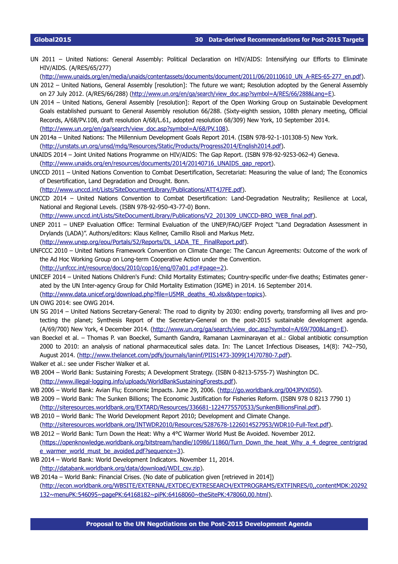UN 2011 – United Nations: General Assembly: Political Declaration on HIV/AIDS: Intensifying our Efforts to Eliminate HIV/AIDS. (A/RES/65/277)

[\(http://www.unaids.org/en/media/unaids/contentassets/documents/document/2011/06/20110610\\_UN\\_A-RES-65-277\\_en.pdf\)](http://www.unaids.org/en/media/unaids/contentassets/documents/document/2011/06/20110610_UN_A-RES-65-277_en.pdf).

- UN 2012 United Nations, General Assembly [resolution]: The future we want; Resolution adopted by the General Assembly on 27 July 2012. (A/RES/66/288) [\(http://www.un.org/en/ga/search/view\\_doc.asp?symbol=A/RES/66/288&Lang=E\)](http://www.un.org/en/ga/search/view_doc.asp?symbol=A/RES/66/288&Lang=E).
- UN 2014 United Nations, General Assembly [resolution]: Report of the Open Working Group on Sustainable Development Goals established pursuant to General Assembly resolution 66/288. (Sixty-eighth session, 108th plenary meeting, Official Records, A/68/PV.108, draft resolution A/68/L.61, adopted resolution 68/309) New York, 10 September 2014. [\(http://www.un.org/en/ga/search/view\\_doc.asp?symbol=A/68/PV.108\)](http://www.un.org/en/ga/search/view_doc.asp?symbol=A/68/PV.108).
- UN 2014a United Nations: The Millennium Development Goals Report 2014. (ISBN 978-92-1-101308-5) New York. [\(http://unstats.un.org/unsd/mdg/Resources/Static/Products/Progress2014/English2014.pdf\)](http://unstats.un.org/unsd/mdg/Resources/Static/Products/Progress2014/English2014.pdf).
- UNAIDS 2014 Joint United Nations Programme on HIV/AIDS: The Gap Report. (ISBN 978-92-9253-062-4) Geneva. [\(http://www.unaids.org/en/resources/documents/2014/20140716\\_UNAIDS\\_gap\\_report\)](http://www.unaids.org/en/resources/documents/2014/20140716_UNAIDS_gap_report).
- UNCCD 2011 United Nations Convention to Combat Desertification, Secretariat: Measuring the value of land; The Economics of Desertification, Land Degradation and Drought. Bonn.

[\(http://www.unccd.int/Lists/SiteDocumentLibrary/Publications/ATT4J7FE.pdf\)](http://www.unccd.int/Lists/SiteDocumentLibrary/Publications/ATT4J7FE.pdf).

UNCCD 2014 – United Nations Convention to Combat Desertification: Land-Degradation Neutrality; Resilience at Local, National and Regional Levels. (ISBN 978-92-950-43-77-0) Bonn.

[\(http://www.unccd.int/Lists/SiteDocumentLibrary/Publications/V2\\_201309\\_UNCCD-BRO\\_WEB\\_final.pdf\)](http://www.unccd.int/Lists/SiteDocumentLibrary/Publications/V2_201309_UNCCD-BRO_WEB_final.pdf).

- UNEP 2011 UNEP Evaluation Office: Terminal Evaluation of the UNEP/FAO/GEF Project "Land Degradation Assessment in Drylands (LADA)". Authors/editors: Klaus Kellner, Camillo Risoli and Markus Metz. [\(http://www.unep.org/eou/Portals/52/Reports/DL\\_LADA\\_TE\\_ FinalReport.pdf\)](http://www.unep.org/eou/Portals/52/Reports/DL_LADA_TE_%20FinalReport.pdf).
- UNFCCC 2010 United Nations Framework Convention on Climate Change: The Cancun Agreements: Outcome of the work of the Ad Hoc Working Group on Long-term Cooperative Action under the Convention. [\( http://unfccc.int/resource/docs/2010/cop16/eng/07a01](http://unfccc.int/resource/docs/2010/cop16/eng/07a01.pdf#page=2) .pdf [#page=2\)](http://unfccc.int/resource/docs/2010/cop16/eng/07a01.pdf#page=2).
- UNICEF 2014 United Nations Children's Fund: Child Mortality Estimates; Country-specific under-five deaths; Estimates generated by the UN Inter-agency Group for Child Mortality Estimation (IGME) in 2014. 16 September 2014. [\(http://www.data.unicef.org/download.php?file=U5MR\\_deaths\\_40.xlsx&type=topics\)](http://www.data.unicef.org/download.php?file=U5MR_deaths_40.xlsx&type=topics).
- UN OWG 2014: see OWG 2014.
- UN SG 2014 United Nations Secretary-General: The road to dignity by 2030: ending poverty, transforming all lives and protecting the planet; Synthesis Report of the Secretary-General on the post-2015 sustainable development agenda. (A/69/700) New York, 4 December 2014. [\(http://www.un.org/ga/search/view\\_doc.asp?symbol=A/69/700&Lang=E\)](http://www.un.org/ga/search/view_doc.asp?symbol=A/69/700&Lang=E).
- van Boeckel et al. Thomas P. van Boeckel, Sumanth Gandra, Ramanan Laxminarayan et al.: Global antibiotic consumption 2000 to 2010: an analysis of national pharmaceutical sales data. In: The Lancet Infectious Diseases, 14(8): 742–750, August 2014. [\(http://www.thelancet.com/pdfs/journals/laninf/PIIS1473-3099\(14\)70780-7.pdf\)](http://www.thelancet.com/pdfs/journals/laninf/PIIS1473-3099(14)70780-7.pdf).

Walker et al.: see under Fischer Walker et al.

- WB 2004 World Bank: Sustaining Forests; A Development Strategy. (ISBN 0-8213-5755-7) Washington DC. [\(http://www.illegal-logging.info/uploads/WorldBankSustainingForests.pdf\)](http://www.illegal-logging.info/uploads/WorldBankSustainingForests.pdf).
- WB 2006 World Bank: Avian Flu; Economic Impacts. June 29, 2006. [\(http://go.worldbank.org/004JPVX050\)](http://go.worldbank.org/004JPVX050).
- WB 2009 World Bank: The Sunken Billions; The Economic Justification for Fisheries Reform. (ISBN 978 0 8213 7790 1) [\(http://siteresources.worldbank.org/EXTARD/Resources/336681-1224775570533/SunkenBillionsFinal.pdf\)](http://siteresources.worldbank.org/EXTARD/Resources/336681-1224775570533/SunkenBillionsFinal.pdf).
- WB 2010 World Bank: The World Development Report 2010; Development and Climate Change. [\(http://siteresources.worldbank.org/INTWDR2010/Resources/5287678-1226014527953/WDR10-Full-Text.pdf\)](http://siteresources.worldbank.org/INTWDR2010/Resources/5287678-1226014527953/WDR10-Full-Text.pdf).
- WB 2012 World Bank: Turn Down the Heat: Why a 4°C Warmer World Must Be Avoided. November 2012. [\(https://openknowledge.worldbank.org/bitstream/handle/10986/11860/Turn\\_Down\\_the\\_heat\\_Why\\_a\\_4\\_degree\\_centrigrad](https://openknowledge.worldbank.org/bitstream/handle/10986/11860/Turn_Down_the_heat_Why_a_4_degree_centrigrade_warmer_world_must_be_avoided.pdf?sequence=3) [e\\_warmer\\_world\\_must\\_be\\_avoided.pdf?sequence=3\)](https://openknowledge.worldbank.org/bitstream/handle/10986/11860/Turn_Down_the_heat_Why_a_4_degree_centrigrade_warmer_world_must_be_avoided.pdf?sequence=3).
- WB 2014 World Bank: World Development Indicators. November 11, 2014. [\(http://databank.worldbank.org/data/download/WDI\\_csv.zip\)](http://databank.worldbank.org/data/download/WDI_csv.zip).
- WB 2014a World Bank: Financial Crises. (No date of publication given [retrieved in 2014]) [\(http://econ.worldbank.org/WBSITE/EXTERNAL/EXTDEC/EXTRESEARCH/EXTPROGRAMS/EXTFINRES/0,,contentMDK:20292](http://econ.worldbank.org/WBSITE/EXTERNAL/EXTDEC/EXTRESEARCH/EXTPROGRAMS/EXTFINRES/0,,contentMDK:20292132~menuPK:546095~pagePK:64168182~piPK:64168060~theSitePK:478060,00.html) [132~menuPK:546095~pagePK:64168182~piPK:64168060~theSitePK:478060,00.html\)](http://econ.worldbank.org/WBSITE/EXTERNAL/EXTDEC/EXTRESEARCH/EXTPROGRAMS/EXTFINRES/0,,contentMDK:20292132~menuPK:546095~pagePK:64168182~piPK:64168060~theSitePK:478060,00.html).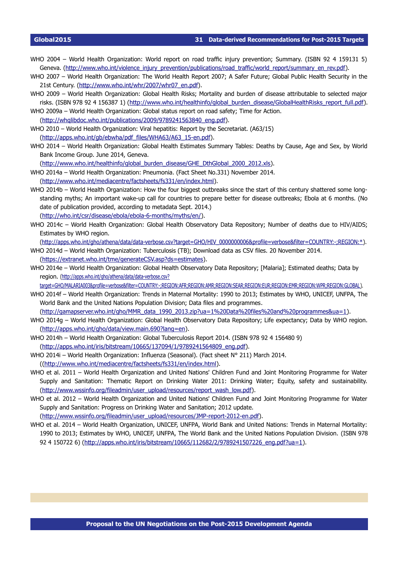- WHO 2004 World Health Organization: World report on road traffic injury prevention; Summary. (ISBN 92 4 159131 5) Geneva. [\(http://www.who.int/violence\\_injury\\_prevention/publications/road\\_traffic/world\\_report/summary\\_en\\_rev.pdf\)](http://www.who.int/violence_injury_prevention/publications/road_traffic/world_report/summary_en_rev.pdf).
- WHO 2007 World Health Organization: The World Health Report 2007; A Safer Future; Global Public Health Security in the 21st Century. [\(http://www.who.int/whr/2007/whr07\\_en.pdf\)](http://www.who.int/whr/2007/whr07_en.pdf).
- WHO 2009 World Health Organization: Global Health Risks; Mortality and burden of disease attributable to selected major risks. (ISBN 978 92 4 156387 1) [\(http://www.who.int/healthinfo/global\\_burden\\_disease/GlobalHealthRisks\\_report\\_full.pdf\)](http://www.who.int/healthinfo/global_burden_disease/GlobalHealthRisks_report_full.pdf).
- WHO 2009a World Health Organization: Global status report on road safety; Time for Action. [\(http://whqlibdoc.who.int/publications/2009/9789241563840\\_eng.pdf\)](http://whqlibdoc.who.int/publications/2009/9789241563840_eng.pdf).
- WHO 2010 World Health Organization: Viral hepatitis: Report by the Secretariat. (A63/15) [\(http://apps.who.int/gb/ebwha/pdf\\_files/WHA63/A63\\_15-en.pdf\)](http://apps.who.int/gb/ebwha/pdf_files/WHA63/A63_15-en.pdf).
- WHO 2014 World Health Organization: Global Health Estimates Summary Tables: Deaths by Cause, Age and Sex, by World Bank Income Group. June 2014, Geneva.

[\(http://www.who.int/healthinfo/global\\_burden\\_disease/GHE\\_DthGlobal\\_2000\\_2012.xls\)](http://www.who.int/healthinfo/global_burden_disease/GHE_DthGlobal_2000_2012.xls).

WHO 2014a – World Health Organization: Pneumonia. (Fact Sheet No.331) November 2014. [\(http://www.who.int/mediacentre/factsheets/fs331/en/index.html\)](http://www.who.int/mediacentre/factsheets/fs331/en/index.html).

- WHO 2014b World Health Organization: How the four biggest outbreaks since the start of this century shattered some longstanding myths; An important wake-up call for countries to prepare better for disease outbreaks; Ebola at 6 months. (No date of publication provided, according to metadata Sept. 2014.) [\(http://who.int/csr/disease/ebola/ebola-6-months/myths/en/\)](http://who.int/csr/disease/ebola/ebola-6-months/myths/en/).
- WHO 2014c World Health Organization: Global Health Observatory Data Repository; Number of deaths due to HIV/AIDS; Estimates by WHO region.

[\(http://apps.who.int/gho/athena/data/data-verbose.csv?target=GHO/HIV\\_0000000006&profile=verbose&filter=COUNTRY:-;REGION:\\*\)](http://apps.who.int/gho/athena/data/data-verbose.csv?target=GHO/HIV_0000000006&profile=verbose&filter=COUNTRY:-;REGION:*).

- WHO 2014d World Health Organization: Tuberculosis (TB); Download data as CSV files. 20 November 2014. [\(https://extranet.who.int/tme/generateCSV.asp?ds=estimates\)](https://extranet.who.int/tme/generateCSV.asp?ds=estimates).
- WHO 2014e World Health Organization: Global Health Observatory Data Repository; [Malaria]; Estimated deaths; Data by region. [\(http://apps.who.int/gho/athena/data/data-verbose.csv?](http://apps.who.int/gho/athena/data/data-verbose.csv?target=GHO/MALARIA003&profile=verbose&filter=COUNTRY:-;REGION:AFR;REGION:AMR;REGION:SEAR;REGION:EUR;REGION:EMR;REGION:WPR;REGION:GLOBAL)

[target=GHO/MALARIA003&profile=verbose&filter=COUNTRY:-;REGION:AFR;REGION:AMR;REGION:SEAR;REGION:EUR;REGION:EMR;REGION:WPR;REGION:GLOBAL\)](http://apps.who.int/gho/athena/data/data-verbose.csv?target=GHO/MALARIA003&profile=verbose&filter=COUNTRY:-;REGION:AFR;REGION:AMR;REGION:SEAR;REGION:EUR;REGION:EMR;REGION:WPR;REGION:GLOBAL).

WHO 2014f – World Health Organization: Trends in Maternal Mortality: 1990 to 2013; Estimates by WHO, UNICEF, UNFPA, The World Bank and the United Nations Population Division; Data files and programmes.

[\(http://gamapserver.who.int/gho/MMR\\_data\\_1990\\_2013.zip?ua=1%20Data%20files%20and%20programmes&ua=1\)](http://gamapserver.who.int/gho/MMR_data_1990_2013.zip?ua=1%20Data%20files%20and%20programmes&ua=1).

- WHO 2014g World Health Organization: Global Health Observatory Data Repository; Life expectancy; Data by WHO region. [\(http://apps.who.int/gho/data/view.main.690?lang=en\)](http://apps.who.int/gho/data/view.main.690?lang=en).
- WHO 2014h World Health Organization: Global Tuberculosis Report 2014. (ISBN 978 92 4 156480 9) [\(http://apps.who.int/iris/bitstream/10665/137094/1/9789241564809\\_eng.pdf\)](http://apps.who.int/iris/bitstream/10665/137094/1/9789241564809_eng.pdf).
- WHO 2014i World Health Organization: Influenza (Seasonal). (Fact sheet N° 211) March 2014. ([\(http://www.who.int/mediacentre/factsheets/fs331/en/index.html\)](http://www.who.int/mediacentre/factsheets/fs331/en/index.html).
- WHO et al. 2011 World Health Organization and United Nations' Children Fund and Joint Monitoring Programme for Water Supply and Sanitation: Thematic Report on Drinking Water 2011: Drinking Water; Equity, safety and sustainability. [\(http://www.wssinfo.org/fileadmin/user\\_upload/resources/report\\_wash\\_low.pdf\)](http://www.wssinfo.org/fileadmin/user_upload/resources/report_wash_low.pdf).
- WHO et al. 2012 World Health Organization and United Nations' Children Fund and Joint Monitoring Programme for Water Supply and Sanitation: Progress on Drinking Water and Sanitation; 2012 update.

[\(http://www.wssinfo.org/fileadmin/user\\_upload/resources/JMP-report-2012-en.pdf\)](http://www.wssinfo.org/fileadmin/user_upload/resources/JMP-report-2012-en.pdf).

WHO et al. 2014 – World Health Organization, UNICEF, UNFPA, World Bank and United Nations: Trends in Maternal Mortality: 1990 to 2013; Estimates by WHO, UNICEF, UNFPA, The World Bank and the United Nations Population Division. (ISBN 978 92 4 150722 6) [\(http://apps.who.int/iris/bitstream/10665/112682/2/9789241507226\\_eng.pdf?ua=1\)](http://apps.who.int/iris/bitstream/10665/112682/2/9789241507226_eng.pdf?ua=1).